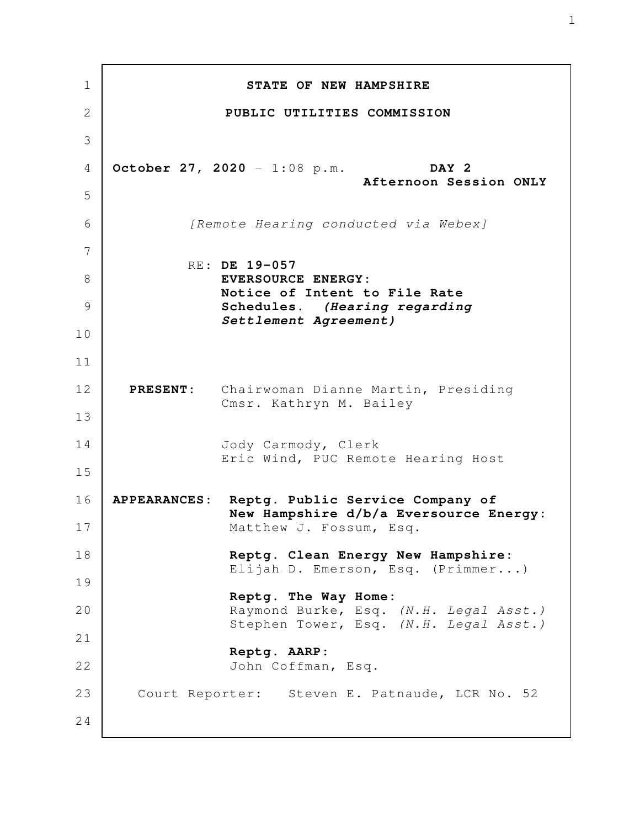**STATE OF NEW HAMPSHIRE PUBLIC UTILITIES COMMISSION October 27, 2020** - 1:08 p.m. **DAY 2 Afternoon Session ONLY** *[Remote Hearing conducted via Webex]* RE: **DE 19-057 EVERSOURCE ENERGY: Notice of Intent to File Rate Schedules.** *(Hearing regarding Settlement Agreement)*  **PRESENT:** Chairwoman Dianne Martin, Presiding Cmsr. Kathryn M. Bailey Jody Carmody, Clerk Eric Wind, PUC Remote Hearing Host **APPEARANCES: Reptg. Public Service Company of New Hampshire d/b/a Eversource Energy:** Matthew J. Fossum, Esq. **Reptg. Clean Energy New Hampshire:** Elijah D. Emerson, Esq. (Primmer...) **Reptg. The Way Home:** Raymond Burke, Esq. *(N.H. Legal Asst.)* Stephen Tower, Esq. *(N.H. Legal Asst.)* **Reptg. AARP:** John Coffman, Esq. Court Reporter: Steven E. Patnaude, LCR No. 52 1 2 3 4 5 6 7 8 9 10 11 12 13 14 15 16 17 18 19 20 21 22 23 24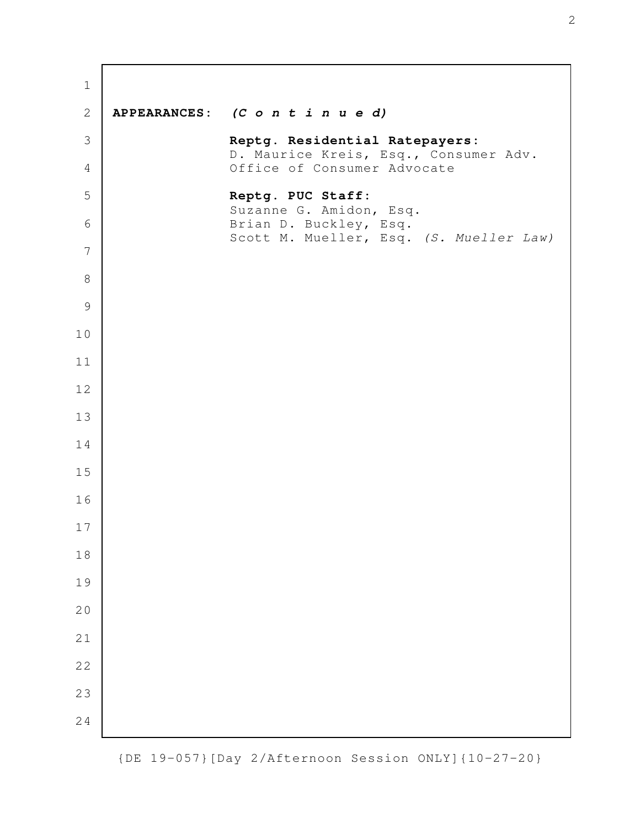| $\mathbf 1$    |                                                                      |
|----------------|----------------------------------------------------------------------|
| $\mathbf{2}$   | APPEARANCES: (C o n t i n u e d)                                     |
| 3              | Reptg. Residential Ratepayers:                                       |
| $\overline{4}$ | D. Maurice Kreis, Esq., Consumer Adv.<br>Office of Consumer Advocate |
| 5              | Reptg. PUC Staff:<br>Suzanne G. Amidon, Esq.                         |
| 6              | Brian D. Buckley, Esq.<br>Scott M. Mueller, Esq. (S. Mueller Law)    |
| 7              |                                                                      |
| $\,8\,$        |                                                                      |
| $\mathcal{G}$  |                                                                      |
| 10             |                                                                      |
| 11             |                                                                      |
| 12             |                                                                      |
| 13             |                                                                      |
| 14             |                                                                      |
| 15             |                                                                      |
| 16             |                                                                      |
| $17$           |                                                                      |
| $1\,8$         |                                                                      |
| 19             |                                                                      |
| 20             |                                                                      |
| 21             |                                                                      |
| 22             |                                                                      |
| 23             |                                                                      |
| 24             |                                                                      |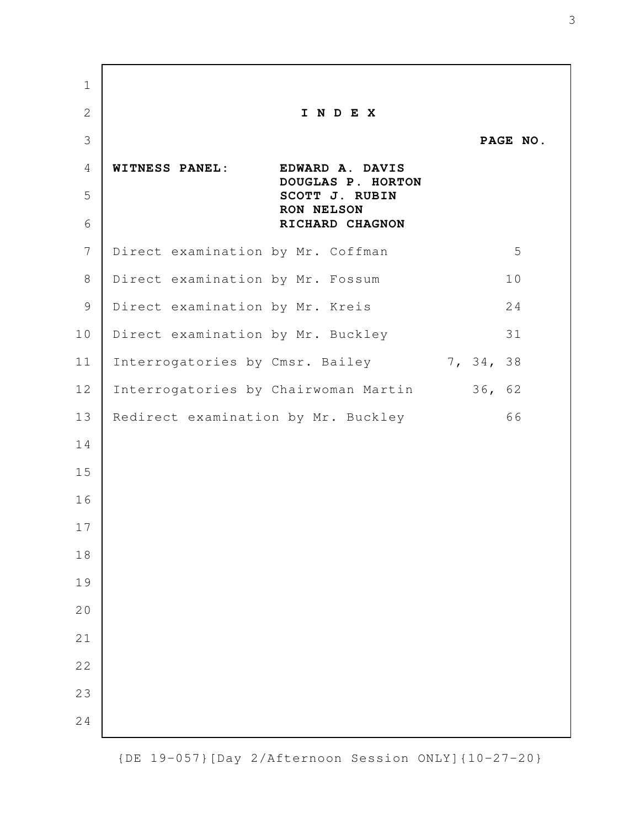**I N D E X PAGE NO. WITNESS PANEL: EDWARD A. DAVIS DOUGLAS P. HORTON SCOTT J. RUBIN RON NELSON RICHARD CHAGNON** Direct examination by Mr. Coffman 5 Direct examination by Mr. Fossum 10 Direct examination by Mr. Kreis 24 Direct examination by Mr. Buckley 31 Interrogatories by Cmsr. Bailey 7, 34, 38 Interrogatories by Chairwoman Martin 36, 62 Redirect examination by Mr. Buckley 66 

{DE 19-057}[Day 2/Afternoon Session ONLY]{10-27-20}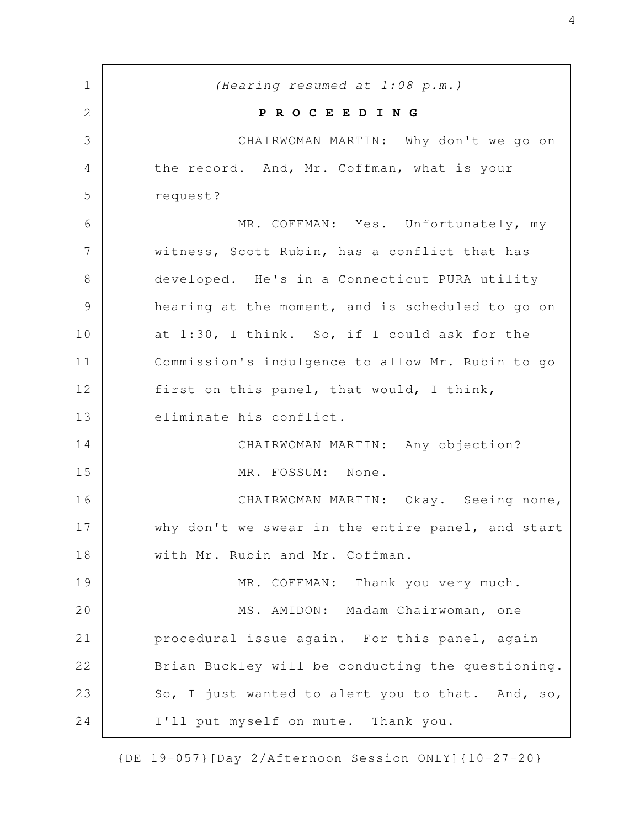*(Hearing resumed at 1:08 p.m.)* **P R O C E E D I N G** CHAIRWOMAN MARTIN: Why don't we go on the record. And, Mr. Coffman, what is your request? MR. COFFMAN: Yes. Unfortunately, my witness, Scott Rubin, has a conflict that has developed. He's in a Connecticut PURA utility hearing at the moment, and is scheduled to go on at 1:30, I think. So, if I could ask for the Commission's indulgence to allow Mr. Rubin to go first on this panel, that would, I think, eliminate his conflict. CHAIRWOMAN MARTIN: Any objection? MR. FOSSUM: None. CHAIRWOMAN MARTIN: Okay. Seeing none, why don't we swear in the entire panel, and start with Mr. Rubin and Mr. Coffman. MR. COFFMAN: Thank you very much. MS. AMIDON: Madam Chairwoman, one procedural issue again. For this panel, again Brian Buckley will be conducting the questioning. So, I just wanted to alert you to that. And, so, I'll put myself on mute. Thank you. 1 2 3 4 5 6 7 8 9 10 11 12 13 14 15 16 17 18 19 20 21 22 23 24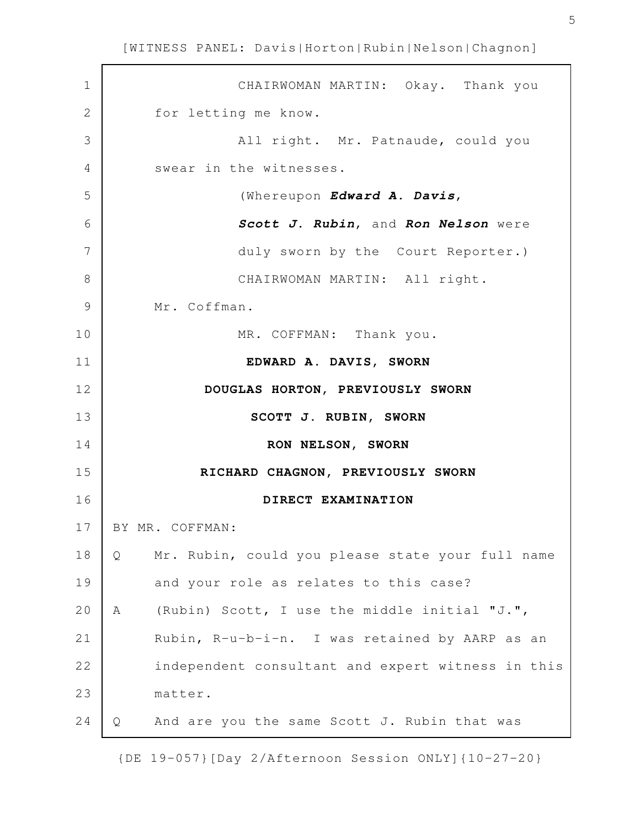| $\mathbf 1$   | CHAIRWOMAN MARTIN: Okay. Thank you                    |
|---------------|-------------------------------------------------------|
| 2             | for letting me know.                                  |
| 3             | All right. Mr. Patnaude, could you                    |
| 4             | swear in the witnesses.                               |
| 5             | (Whereupon Edward A. Davis,                           |
| 6             | Scott J. Rubin, and Ron Nelson were                   |
| 7             | duly sworn by the Court Reporter.)                    |
| 8             | CHAIRWOMAN MARTIN: All right.                         |
| $\mathcal{G}$ | Mr. Coffman.                                          |
| 10            | MR. COFFMAN: Thank you.                               |
| 11            | EDWARD A. DAVIS, SWORN                                |
| 12            | DOUGLAS HORTON, PREVIOUSLY SWORN                      |
| 13            | SCOTT J. RUBIN, SWORN                                 |
| 14            | RON NELSON, SWORN                                     |
| 15            | RICHARD CHAGNON, PREVIOUSLY SWORN                     |
| 16            | DIRECT EXAMINATION                                    |
| 17            | BY MR. COFFMAN:                                       |
| 18            | Mr. Rubin, could you please state your full name<br>Q |
| 19            | and your role as relates to this case?                |
| 20            | (Rubin) Scott, I use the middle initial "J.",<br>Α    |
| 21            | Rubin, R-u-b-i-n. I was retained by AARP as an        |
| 22            | independent consultant and expert witness in this     |
| 23            | matter.                                               |
| 24            | And are you the same Scott J. Rubin that was<br>Q     |
|               |                                                       |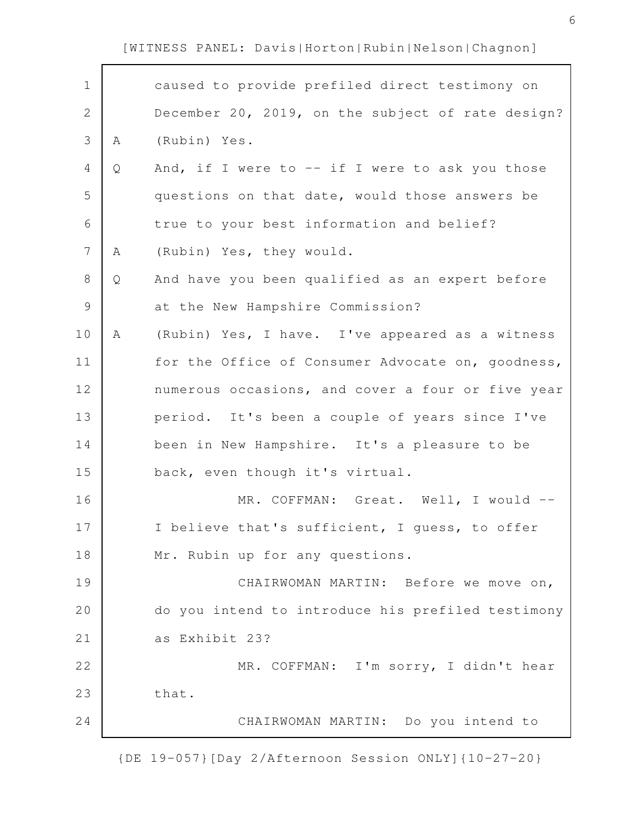| $\mathbf 1$    |   | caused to provide prefiled direct testimony on    |
|----------------|---|---------------------------------------------------|
| $\mathbf{2}$   |   | December 20, 2019, on the subject of rate design? |
| $\mathfrak{Z}$ | Α | (Rubin) Yes.                                      |
| $\overline{4}$ | Q | And, if I were to $--$ if I were to ask you those |
| 5              |   | questions on that date, would those answers be    |
| 6              |   | true to your best information and belief?         |
| $\overline{7}$ | Α | (Rubin) Yes, they would.                          |
| $\,8\,$        | Q | And have you been qualified as an expert before   |
| $\mathcal{G}$  |   | at the New Hampshire Commission?                  |
| 10             | Α | (Rubin) Yes, I have. I've appeared as a witness   |
| 11             |   | for the Office of Consumer Advocate on, goodness, |
| 12             |   | numerous occasions, and cover a four or five year |
| 13             |   | period. It's been a couple of years since I've    |
| 14             |   | been in New Hampshire. It's a pleasure to be      |
| 15             |   | back, even though it's virtual.                   |
| 16             |   | MR. COFFMAN: Great. Well, I would --              |
| 17             |   | I believe that's sufficient, I guess, to offer    |
| 18             |   | Mr. Rubin up for any questions.                   |
| 19             |   | CHAIRWOMAN MARTIN: Before we move on,             |
| 20             |   | do you intend to introduce his prefiled testimony |
| 21             |   | as Exhibit 23?                                    |
| 22             |   | MR. COFFMAN: I'm sorry, I didn't hear             |
| 23             |   | that.                                             |
| 24             |   | CHAIRWOMAN MARTIN: Do you intend to               |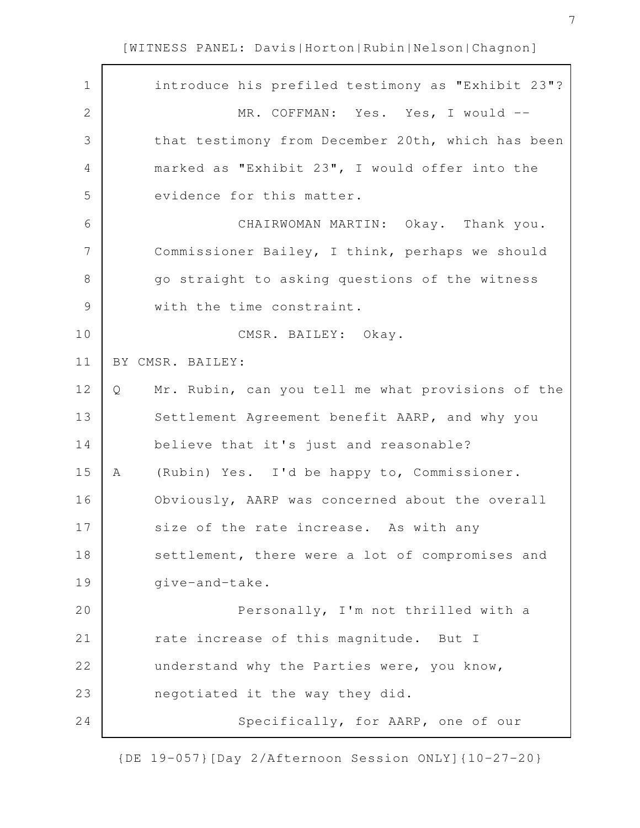| $\mathbf 1$   | introduce his prefiled testimony as "Exhibit 23"?      |
|---------------|--------------------------------------------------------|
| $\mathbf{2}$  | MR. COFFMAN: Yes. Yes, I would --                      |
| 3             | that testimony from December 20th, which has been      |
| 4             | marked as "Exhibit 23", I would offer into the         |
| 5             | evidence for this matter.                              |
| 6             | CHAIRWOMAN MARTIN: Okay. Thank you.                    |
| 7             | Commissioner Bailey, I think, perhaps we should        |
| 8             | go straight to asking questions of the witness         |
| $\mathcal{G}$ | with the time constraint.                              |
| 10            | CMSR. BAILEY: Okay.                                    |
| 11            | BY CMSR. BAILEY:                                       |
| 12            | Mr. Rubin, can you tell me what provisions of the<br>Q |
| 13            | Settlement Agreement benefit AARP, and why you         |
| 14            | believe that it's just and reasonable?                 |
| 15            | (Rubin) Yes. I'd be happy to, Commissioner.<br>A       |
| 16            | Obviously, AARP was concerned about the overall        |
| 17            | size of the rate increase. As with any                 |
| 18            | settlement, there were a lot of compromises and        |
| 19            | give-and-take.                                         |
| 20            | Personally, I'm not thrilled with a                    |
| 21            | rate increase of this magnitude. But I                 |
| 22            | understand why the Parties were, you know,             |
| 23            | negotiated it the way they did.                        |
| 24            | Specifically, for AARP, one of our                     |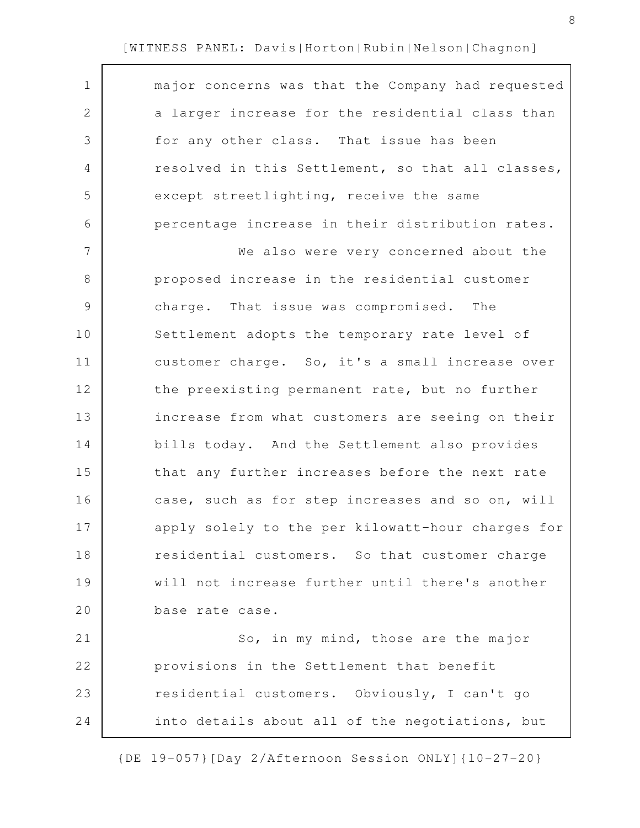| $\mathbf 1$   | major concerns was that the Company had requested |
|---------------|---------------------------------------------------|
| $\mathbf{2}$  | a larger increase for the residential class than  |
| 3             | for any other class. That issue has been          |
| 4             | resolved in this Settlement, so that all classes, |
| 5             | except streetlighting, receive the same           |
| 6             | percentage increase in their distribution rates.  |
| 7             | We also were very concerned about the             |
| 8             | proposed increase in the residential customer     |
| $\mathcal{G}$ | charge. That issue was compromised. The           |
| 10            | Settlement adopts the temporary rate level of     |
| 11            | customer charge. So, it's a small increase over   |
| 12            | the preexisting permanent rate, but no further    |
| 13            | increase from what customers are seeing on their  |
| 14            | bills today. And the Settlement also provides     |
| 15            | that any further increases before the next rate   |
| 16            | case, such as for step increases and so on, will  |
| 17            | apply solely to the per kilowatt-hour charges for |
| 18            | residential customers. So that customer charge    |
| 19            | will not increase further until there's another   |
| 20            | base rate case.                                   |
| 21            | So, in my mind, those are the major               |
| 22            | provisions in the Settlement that benefit         |
| 23            | residential customers. Obviously, I can't go      |
| 24            | into details about all of the negotiations, but   |
|               |                                                   |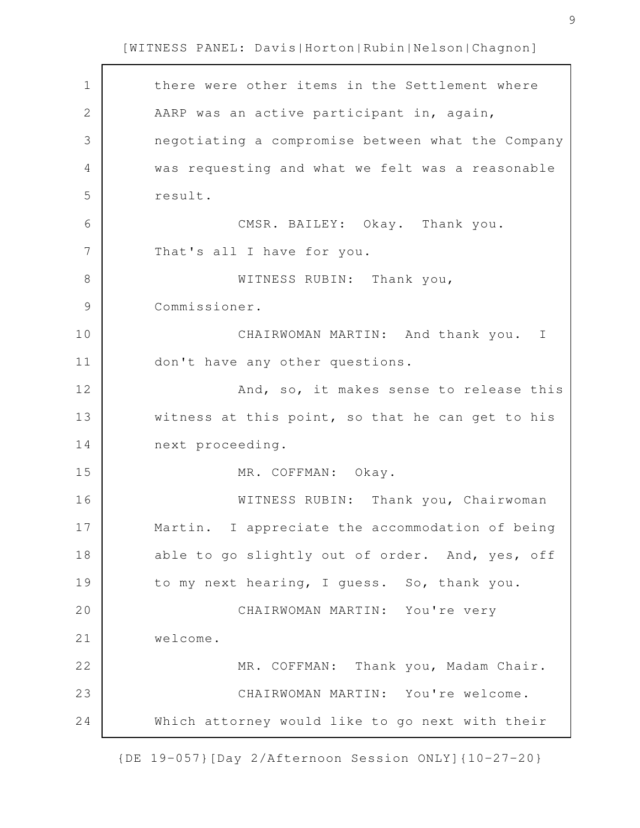| $\mathbf 1$   | there were other items in the Settlement where    |
|---------------|---------------------------------------------------|
| $\mathbf{2}$  | AARP was an active participant in, again,         |
| 3             | negotiating a compromise between what the Company |
| 4             | was requesting and what we felt was a reasonable  |
| 5             | result.                                           |
| 6             | CMSR. BAILEY: Okay. Thank you.                    |
| 7             | That's all I have for you.                        |
| 8             | WITNESS RUBIN: Thank you,                         |
| $\mathcal{G}$ | Commissioner.                                     |
| 10            | CHAIRWOMAN MARTIN: And thank you. I               |
| 11            | don't have any other questions.                   |
| 12            | And, so, it makes sense to release this           |
| 13            | witness at this point, so that he can get to his  |
| 14            | next proceeding.                                  |
| 15            | MR. COFFMAN: Okay.                                |
| 16            | WITNESS RUBIN: Thank you, Chairwoman              |
| 17            | Martin. I appreciate the accommodation of being   |
| 18            | able to go slightly out of order. And, yes, off   |
| 19            | to my next hearing, I guess. So, thank you.       |
| 20            | CHAIRWOMAN MARTIN: You're very                    |
| 21            | welcome.                                          |
| 22            | MR. COFFMAN: Thank you, Madam Chair.              |
| 23            | CHAIRWOMAN MARTIN: You're welcome.                |
| 24            | Which attorney would like to go next with their   |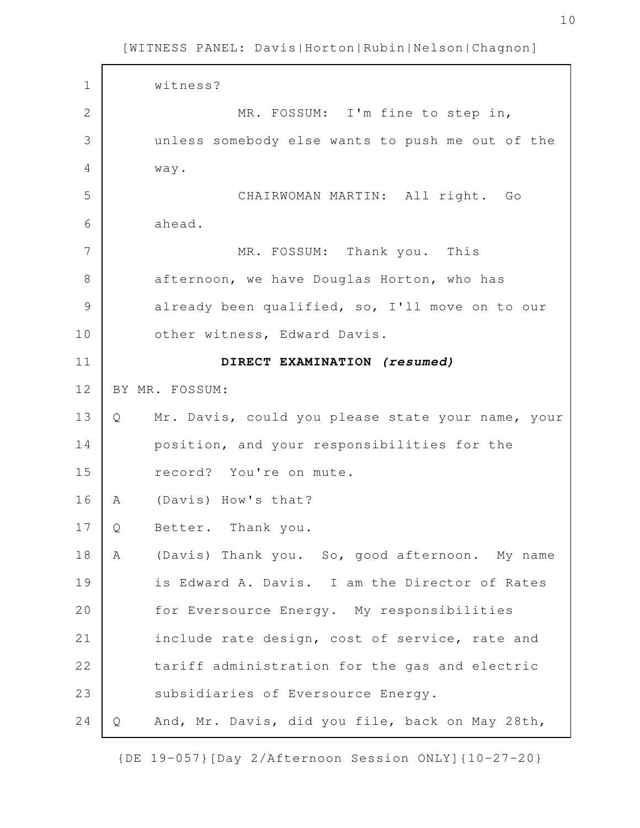| $\mathbf 1$   |   | witness?                                          |
|---------------|---|---------------------------------------------------|
| $\mathbf{2}$  |   | MR. FOSSUM: I'm fine to step in,                  |
| 3             |   | unless somebody else wants to push me out of the  |
| 4             |   | way.                                              |
| 5             |   | CHAIRWOMAN MARTIN: All right. Go                  |
| 6             |   | ahead.                                            |
| 7             |   | MR. FOSSUM: Thank you. This                       |
| 8             |   | afternoon, we have Douglas Horton, who has        |
| $\mathcal{G}$ |   | already been qualified, so, I'll move on to our   |
| 10            |   | other witness, Edward Davis.                      |
| 11            |   | DIRECT EXAMINATION (resumed)                      |
| 12            |   | BY MR. FOSSUM:                                    |
| 13            | Q | Mr. Davis, could you please state your name, your |
| 14            |   | position, and your responsibilities for the       |
| 15            |   | record? You're on mute.                           |
| 16            | A | (Davis) How's that?                               |
| 17            | Q | Better. Thank you.                                |
| 18            | Α | (Davis) Thank you. So, good afternoon. My name    |
| 19            |   | is Edward A. Davis. I am the Director of Rates    |
| 20            |   | for Eversource Energy. My responsibilities        |
| 21            |   | include rate design, cost of service, rate and    |
| 22            |   | tariff administration for the gas and electric    |
| 23            |   | subsidiaries of Eversource Energy.                |
| 24            | Q | And, Mr. Davis, did you file, back on May 28th,   |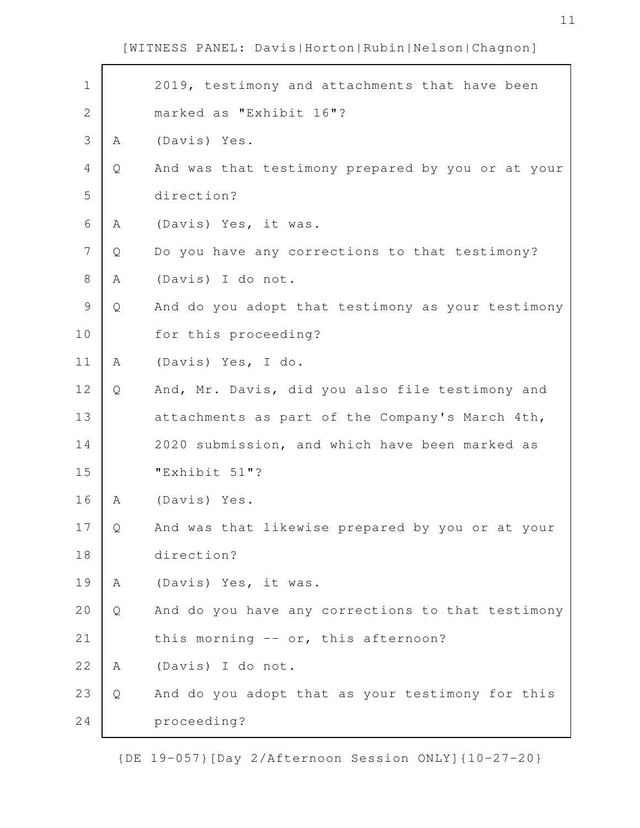| $\mathbf 1$    |   | 2019, testimony and attachments that have been    |
|----------------|---|---------------------------------------------------|
| $\overline{2}$ |   | marked as "Exhibit 16"?                           |
| 3              | Α | (Davis) Yes.                                      |
| 4              | Q | And was that testimony prepared by you or at your |
| 5              |   | direction?                                        |
| 6              | Α | (Davis) Yes, it was.                              |
| 7              | Q | Do you have any corrections to that testimony?    |
| $\,8\,$        | Α | (Davis) I do not.                                 |
| $\mathsf{S}$   | Q | And do you adopt that testimony as your testimony |
| 10             |   | for this proceeding?                              |
| 11             | A | (Davis) Yes, I do.                                |
| 12             | Q | And, Mr. Davis, did you also file testimony and   |
| 13             |   | attachments as part of the Company's March 4th,   |
| 14             |   | 2020 submission, and which have been marked as    |
| 15             |   | "Exhibit 51"?                                     |
| 16             | A | (Davis) Yes.                                      |
| 17             | Q | And was that likewise prepared by you or at your  |
| 18             |   | direction?                                        |
| 19             | A | (Davis) Yes, it was.                              |
| 20             | Q | And do you have any corrections to that testimony |
| 21             |   | this morning -- or, this afternoon?               |
| 22             | A | (Davis) I do not.                                 |
| 23             | Q | And do you adopt that as your testimony for this  |
| 24             |   | proceeding?                                       |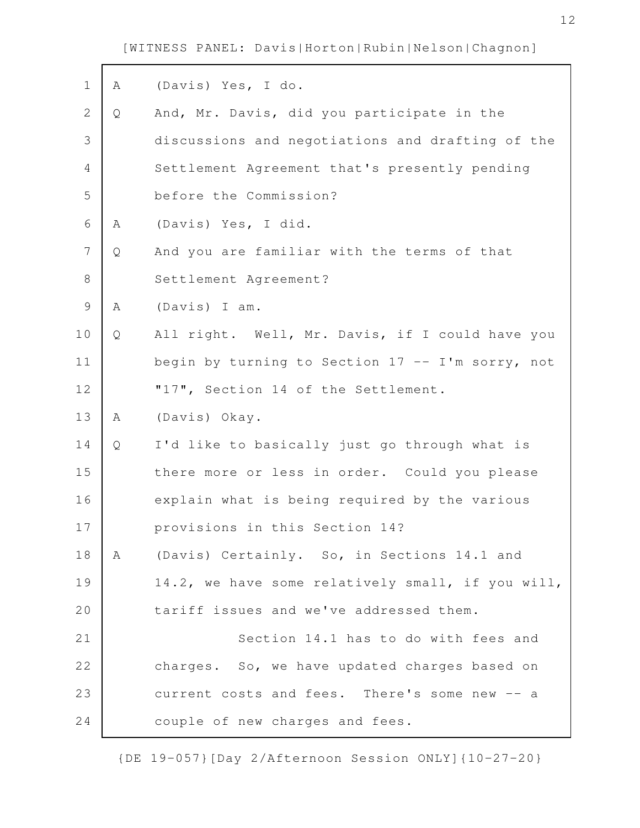$\mathbf{r}$ 

| $\mathbf 1$ | Α | (Davis) Yes, I do.                                  |
|-------------|---|-----------------------------------------------------|
| 2           | Q | And, Mr. Davis, did you participate in the          |
| 3           |   | discussions and negotiations and drafting of the    |
| 4           |   | Settlement Agreement that's presently pending       |
| 5           |   | before the Commission?                              |
| 6           | Α | (Davis) Yes, I did.                                 |
| 7           | Q | And you are familiar with the terms of that         |
| $8\,$       |   | Settlement Agreement?                               |
| 9           | Α | (Davis) I am.                                       |
| 10          | Q | All right. Well, Mr. Davis, if I could have you     |
| 11          |   | begin by turning to Section $17 - -1$ 'm sorry, not |
| 12          |   | "17", Section 14 of the Settlement.                 |
| 13          | Α | (Davis) Okay.                                       |
| 14          | Q | I'd like to basically just go through what is       |
| 15          |   | there more or less in order. Could you please       |
| 16          |   | explain what is being required by the various       |
| 17          |   | provisions in this Section 14?                      |
| 18          | Α | (Davis) Certainly. So, in Sections 14.1 and         |
| 19          |   | 14.2, we have some relatively small, if you will,   |
| 20          |   | tariff issues and we've addressed them.             |
| 21          |   | Section 14.1 has to do with fees and                |
| 22          |   | charges. So, we have updated charges based on       |
| 23          |   | current costs and fees. There's some new<br>$--a$   |
| 24          |   | couple of new charges and fees.                     |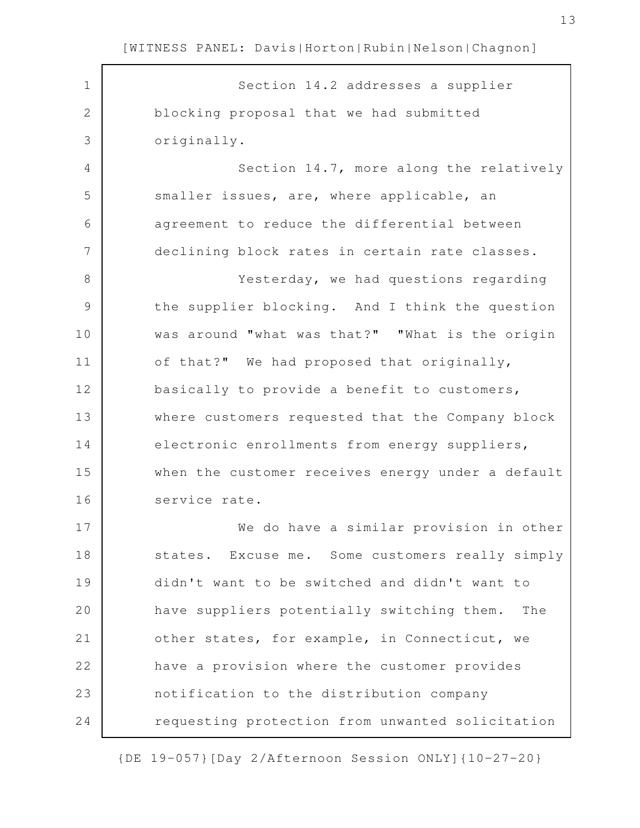| $\mathbf 1$   | Section 14.2 addresses a supplier                 |
|---------------|---------------------------------------------------|
| 2             | blocking proposal that we had submitted           |
| 3             | originally.                                       |
| 4             | Section 14.7, more along the relatively           |
| 5             | smaller issues, are, where applicable, an         |
| 6             | agreement to reduce the differential between      |
| 7             | declining block rates in certain rate classes.    |
| 8             | Yesterday, we had questions regarding             |
| $\mathcal{G}$ | the supplier blocking. And I think the question   |
| 10            | was around "what was that?" "What is the origin   |
| 11            | of that?" We had proposed that originally,        |
| 12            | basically to provide a benefit to customers,      |
| 13            | where customers requested that the Company block  |
| 14            | electronic enrollments from energy suppliers,     |
| 15            | when the customer receives energy under a default |
| 16            | service rate.                                     |
| 17            | We do have a similar provision in other           |
| 18            | states. Excuse me. Some customers really simply   |
| 19            | didn't want to be switched and didn't want to     |
| 20            | have suppliers potentially switching them.<br>The |
| 21            | other states, for example, in Connecticut, we     |
| 22            | have a provision where the customer provides      |
| 23            | notification to the distribution company          |
| 24            | requesting protection from unwanted solicitation  |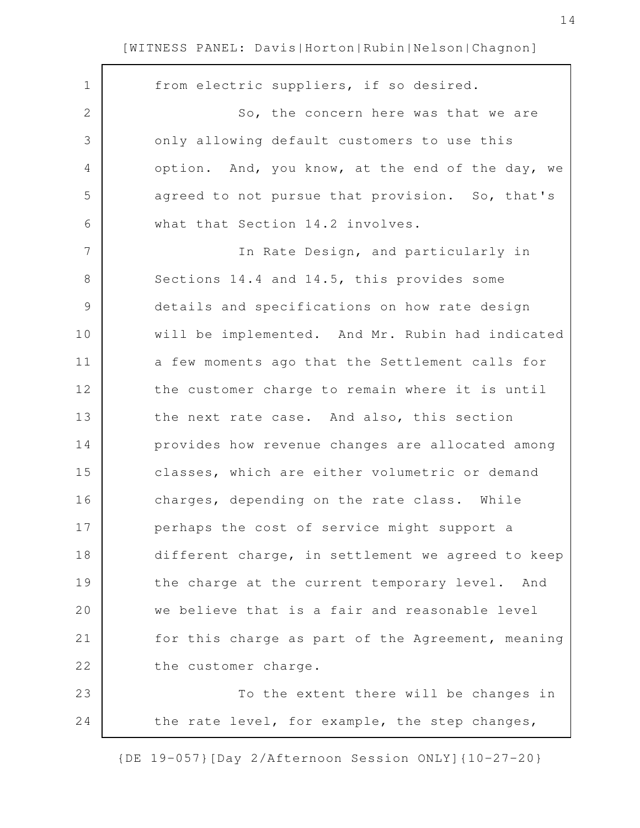| $\mathbf 1$     | from electric suppliers, if so desired.           |
|-----------------|---------------------------------------------------|
| $\mathbf{2}$    | So, the concern here was that we are              |
| 3               | only allowing default customers to use this       |
| $\overline{4}$  | option. And, you know, at the end of the day, we  |
| 5               | agreed to not pursue that provision. So, that's   |
| 6               | what that Section 14.2 involves.                  |
| $7\phantom{.0}$ | In Rate Design, and particularly in               |
| 8               | Sections 14.4 and 14.5, this provides some        |
| $\mathsf 9$     | details and specifications on how rate design     |
| 10              | will be implemented. And Mr. Rubin had indicated  |
| 11              | a few moments ago that the Settlement calls for   |
| 12              | the customer charge to remain where it is until   |
| 13              | the next rate case. And also, this section        |
| 14              | provides how revenue changes are allocated among  |
| 15              | classes, which are either volumetric or demand    |
| 16              | charges, depending on the rate class. While       |
| 17              | perhaps the cost of service might support a       |
| 18              | different charge, in settlement we agreed to keep |
| 19              | the charge at the current temporary level. And    |
| 20              | we believe that is a fair and reasonable level    |
| 21              | for this charge as part of the Agreement, meaning |
| 22              | the customer charge.                              |
| 23              | To the extent there will be changes in            |
| 24              | the rate level, for example, the step changes,    |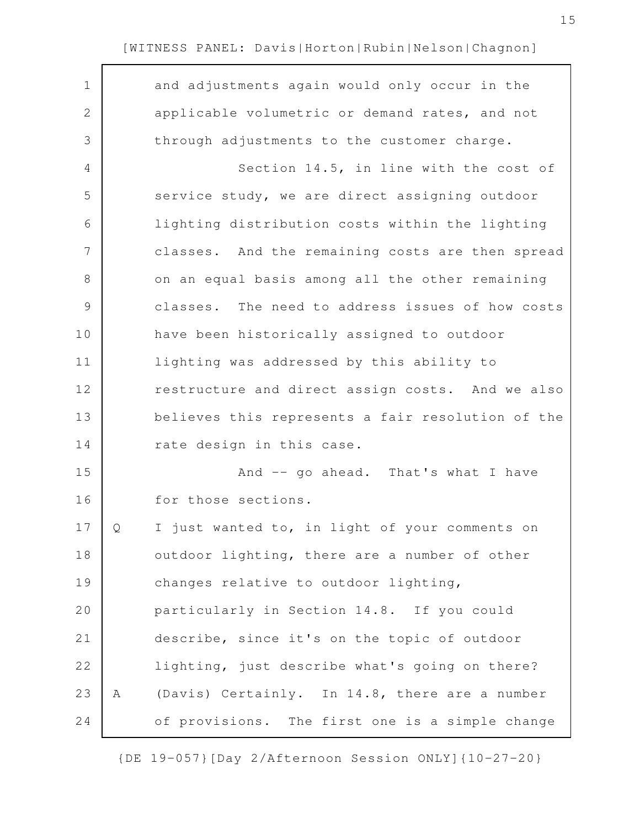| $\mathbf 1$ |   | and adjustments again would only occur in the     |
|-------------|---|---------------------------------------------------|
| 2           |   | applicable volumetric or demand rates, and not    |
| 3           |   | through adjustments to the customer charge.       |
| 4           |   | Section 14.5, in line with the cost of            |
| 5           |   | service study, we are direct assigning outdoor    |
| 6           |   | lighting distribution costs within the lighting   |
| 7           |   | classes. And the remaining costs are then spread  |
| 8           |   | on an equal basis among all the other remaining   |
| $\mathsf 9$ |   | classes. The need to address issues of how costs  |
| 10          |   | have been historically assigned to outdoor        |
| 11          |   | lighting was addressed by this ability to         |
| 12          |   | restructure and direct assign costs. And we also  |
| 13          |   | believes this represents a fair resolution of the |
| 14          |   | rate design in this case.                         |
| 15          |   | And -- go ahead. That's what I have               |
| 16          |   | for those sections.                               |
| 17          | O | I just wanted to, in light of your comments on    |
| 18          |   | outdoor lighting, there are a number of other     |
| 19          |   | changes relative to outdoor lighting,             |
| 20          |   | particularly in Section 14.8. If you could        |
| 21          |   | describe, since it's on the topic of outdoor      |
| 22          |   | lighting, just describe what's going on there?    |
| 23          | Α | (Davis) Certainly. In 14.8, there are a number    |
| 24          |   | of provisions. The first one is a simple change   |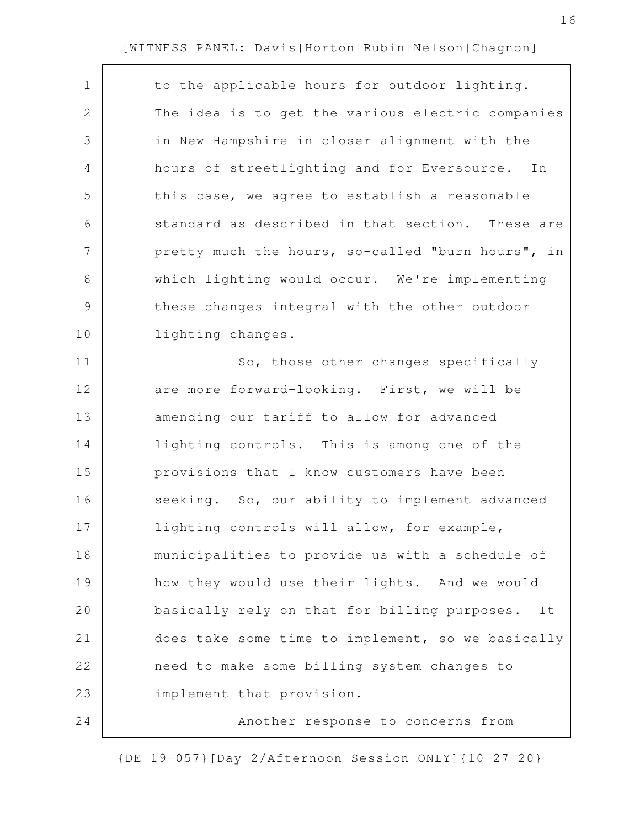| $\mathbf 1$    | to the applicable hours for outdoor lighting.      |
|----------------|----------------------------------------------------|
| $\mathbf{2}$   | The idea is to get the various electric companies  |
| 3              | in New Hampshire in closer alignment with the      |
| $\overline{4}$ | hours of streetlighting and for Eversource. In     |
| 5              | this case, we agree to establish a reasonable      |
| 6              | standard as described in that section. These are   |
| $\overline{7}$ | pretty much the hours, so-called "burn hours", in  |
| 8              | which lighting would occur. We're implementing     |
| $\mathcal{G}$  | these changes integral with the other outdoor      |
| 10             | lighting changes.                                  |
| 11             | So, those other changes specifically               |
| 12             | are more forward-looking. First, we will be        |
| 13             | amending our tariff to allow for advanced          |
| 14             | lighting controls. This is among one of the        |
| 15             | provisions that I know customers have been         |
| 16             | seeking. So, our ability to implement advanced     |
| 17             | lighting controls will allow, for example,         |
| 18             | municipalities to provide us with a schedule of    |
| 19             | how they would use their lights. And we would      |
| 20             | basically rely on that for billing purposes.<br>It |
| 21             | does take some time to implement, so we basically  |
| 22             | need to make some billing system changes to        |
| 23             | implement that provision.                          |
| 24             | Another response to concerns from                  |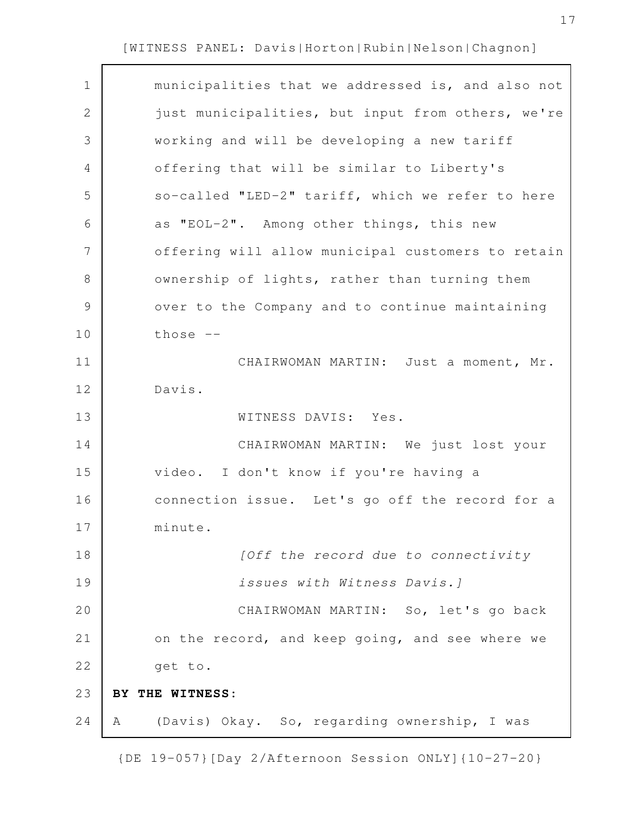$\Gamma$ 

| $\mathbf 1$   | municipalities that we addressed is, and also not |
|---------------|---------------------------------------------------|
| $\mathbf{2}$  | just municipalities, but input from others, we're |
| 3             | working and will be developing a new tariff       |
| 4             | offering that will be similar to Liberty's        |
| 5             | so-called "LED-2" tariff, which we refer to here  |
| 6             | as "EOL-2". Among other things, this new          |
| 7             | offering will allow municipal customers to retain |
| 8             | ownership of lights, rather than turning them     |
| $\mathcal{G}$ | over to the Company and to continue maintaining   |
| 10            | those $--$                                        |
| 11            | CHAIRWOMAN MARTIN: Just a moment, Mr.             |
| 12            | Davis.                                            |
| 13            | WITNESS DAVIS: Yes.                               |
| 14            | CHAIRWOMAN MARTIN: We just lost your              |
| 15            | I don't know if you're having a<br>video.         |
| 16            | connection issue. Let's go off the record for a   |
| 17            | minute.                                           |
| 18            | [Off the record due to connectivity               |
| 19            | issues with Witness Davis.]                       |
| 20            | CHAIRWOMAN MARTIN: So, let's go back              |
| 21            | on the record, and keep going, and see where we   |
| 22            | get to.                                           |
| 23            | BY THE WITNESS:                                   |
| 24            | (Davis) Okay. So, regarding ownership, I was<br>A |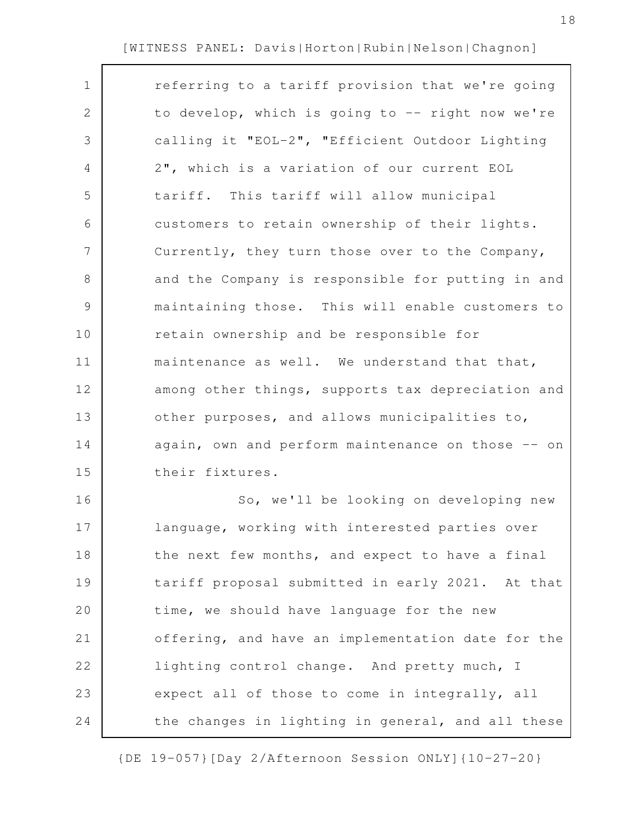| $\mathbf 1$    | referring to a tariff provision that we're going  |
|----------------|---------------------------------------------------|
| 2              | to develop, which is going to -- right now we're  |
| 3              | calling it "EOL-2", "Efficient Outdoor Lighting   |
| $\overline{4}$ | 2", which is a variation of our current EOL       |
| 5              | tariff. This tariff will allow municipal          |
| 6              | customers to retain ownership of their lights.    |
| $\overline{7}$ | Currently, they turn those over to the Company,   |
| 8              | and the Company is responsible for putting in and |
| $\mathcal{G}$  | maintaining those. This will enable customers to  |
| 10             | retain ownership and be responsible for           |
| 11             | maintenance as well. We understand that that,     |
| 12             | among other things, supports tax depreciation and |
| 13             | other purposes, and allows municipalities to,     |
| 14             | again, own and perform maintenance on those -- on |
| 15             | their fixtures.                                   |
| 16             | So, we'll be looking on developing new            |
| 17             | language, working with interested parties over    |
| 18             | the next few months, and expect to have a final   |
| 19             | tariff proposal submitted in early 2021. At that  |
| 20             | time, we should have language for the new         |
| 21             | offering, and have an implementation date for the |
| 22             | lighting control change. And pretty much, I       |
| 23             | expect all of those to come in integrally, all    |
| 24             | the changes in lighting in general, and all these |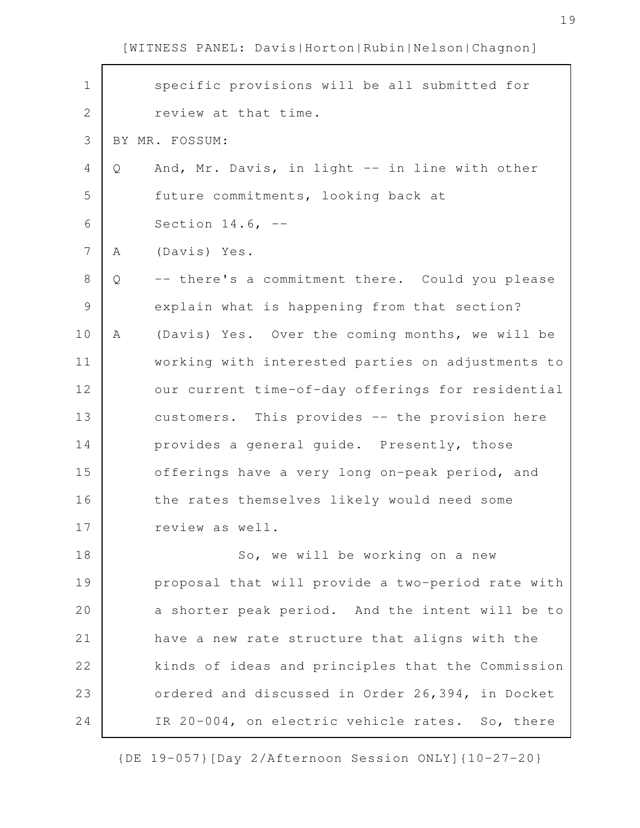| $\mathbf 1$ |   | specific provisions will be all submitted for     |
|-------------|---|---------------------------------------------------|
| 2           |   | review at that time.                              |
| 3           |   | BY MR. FOSSUM:                                    |
| 4           | Q | And, Mr. Davis, in light -- in line with other    |
| 5           |   | future commitments, looking back at               |
| 6           |   | Section $14.6$ , $-$                              |
| 7           | Α | (Davis) Yes.                                      |
| 8           | Q | -- there's a commitment there. Could you please   |
| 9           |   | explain what is happening from that section?      |
| 10          | A | (Davis) Yes. Over the coming months, we will be   |
| 11          |   | working with interested parties on adjustments to |
| 12          |   | our current time-of-day offerings for residential |
| 13          |   | customers. This provides -- the provision here    |
| 14          |   | provides a general guide. Presently, those        |
| 15          |   | offerings have a very long on-peak period, and    |
| 16          |   | the rates themselves likely would need some       |
| 17          |   | review as well.                                   |
| 18          |   | So, we will be working on a new                   |
| 19          |   | proposal that will provide a two-period rate with |
| 20          |   | a shorter peak period. And the intent will be to  |
| 21          |   | have a new rate structure that aligns with the    |
| 22          |   | kinds of ideas and principles that the Commission |
| 23          |   | ordered and discussed in Order 26,394, in Docket  |
| 24          |   | IR 20-004, on electric vehicle rates. So, there   |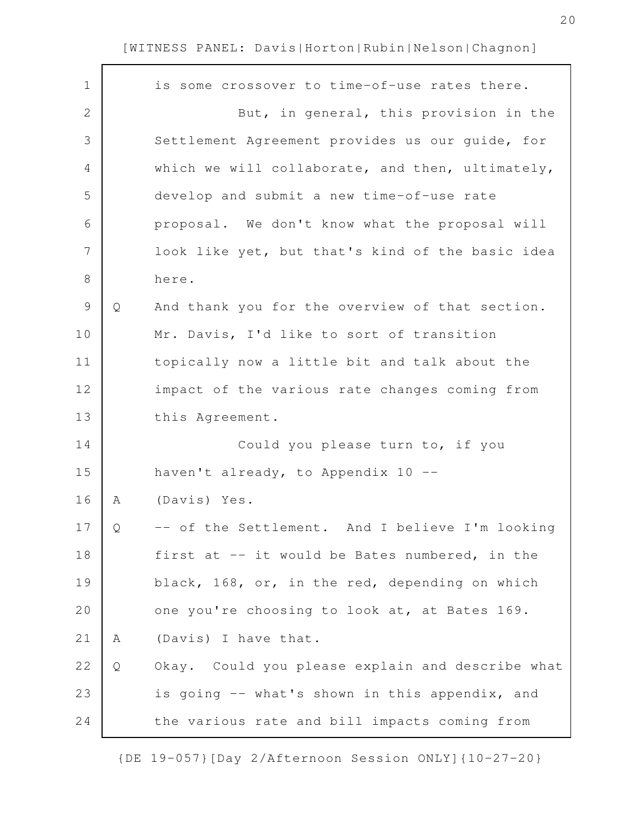|   | is some crossover to time-of-use rates there.    |
|---|--------------------------------------------------|
|   | But, in general, this provision in the           |
|   | Settlement Agreement provides us our guide, for  |
|   | which we will collaborate, and then, ultimately, |
|   | develop and submit a new time-of-use rate        |
|   | proposal. We don't know what the proposal will   |
|   | look like yet, but that's kind of the basic idea |
|   | here.                                            |
| Q | And thank you for the overview of that section.  |
|   | Mr. Davis, I'd like to sort of transition        |
|   | topically now a little bit and talk about the    |
|   | impact of the various rate changes coming from   |
|   | this Agreement.                                  |
|   | Could you please turn to, if you                 |
|   | haven't already, to Appendix 10 --               |
| Α | (Davis) Yes.                                     |
| Q | -- of the Settlement. And I believe I'm looking  |
|   | first at -- it would be Bates numbered, in the   |
|   | black, 168, or, in the red, depending on which   |
|   | one you're choosing to look at, at Bates 169.    |
| Α | (Davis) I have that.                             |
| Q | Okay. Could you please explain and describe what |
|   | is going -- what's shown in this appendix, and   |
|   | the various rate and bill impacts coming from    |
|   |                                                  |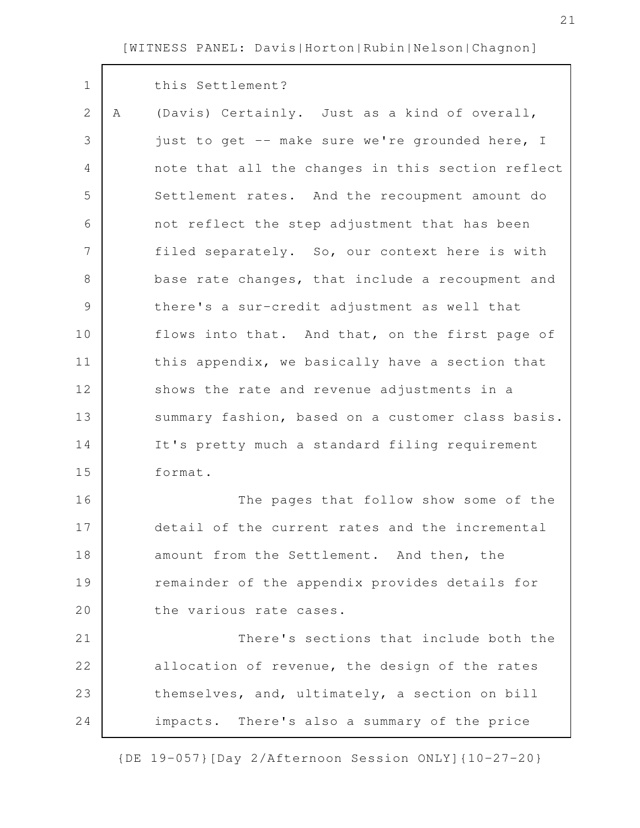| $\mathbf 1$    |   | this Settlement?                                  |
|----------------|---|---------------------------------------------------|
| $\overline{2}$ | A | (Davis) Certainly. Just as a kind of overall,     |
| 3              |   | just to get -- make sure we're grounded here, I   |
| 4              |   | note that all the changes in this section reflect |
| 5              |   | Settlement rates. And the recoupment amount do    |
| 6              |   | not reflect the step adjustment that has been     |
| 7              |   | filed separately. So, our context here is with    |
| 8              |   | base rate changes, that include a recoupment and  |
| $\mathcal{G}$  |   | there's a sur-credit adjustment as well that      |
| 10             |   | flows into that. And that, on the first page of   |
| 11             |   | this appendix, we basically have a section that   |
| 12             |   | shows the rate and revenue adjustments in a       |
| 13             |   | summary fashion, based on a customer class basis. |
| 14             |   | It's pretty much a standard filing requirement    |
| 15             |   | format.                                           |
| 16             |   | The pages that follow show some of the            |
| 17             |   | detail of the current rates and the incremental   |
| 18             |   | amount from the Settlement. And then, the         |
| 19             |   | remainder of the appendix provides details for    |
| 20             |   | the various rate cases.                           |
| 21             |   | There's sections that include both the            |
| 22             |   | allocation of revenue, the design of the rates    |
| 23             |   | themselves, and, ultimately, a section on bill    |
| 24             |   | impacts. There's also a summary of the price      |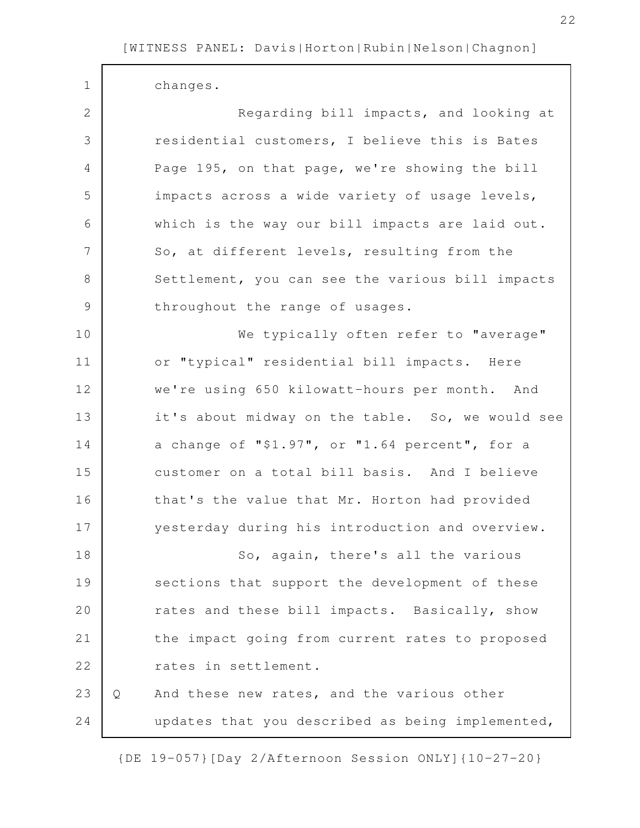$\Gamma$ 

| $\mathbf 1$   |   | changes.                                         |
|---------------|---|--------------------------------------------------|
| $\mathbf{2}$  |   | Regarding bill impacts, and looking at           |
| 3             |   | residential customers, I believe this is Bates   |
| 4             |   | Page 195, on that page, we're showing the bill   |
| 5             |   | impacts across a wide variety of usage levels,   |
| 6             |   | which is the way our bill impacts are laid out.  |
| 7             |   | So, at different levels, resulting from the      |
| 8             |   | Settlement, you can see the various bill impacts |
| $\mathcal{G}$ |   | throughout the range of usages.                  |
| 10            |   | We typically often refer to "average"            |
| 11            |   | or "typical" residential bill impacts. Here      |
| 12            |   | we're using 650 kilowatt-hours per month. And    |
| 13            |   | it's about midway on the table. So, we would see |
| 14            |   | a change of "\$1.97", or "1.64 percent", for a   |
| 15            |   | customer on a total bill basis. And I believe    |
| 16            |   | that's the value that Mr. Horton had provided    |
| 17            |   | yesterday during his introduction and overview.  |
| 18            |   | So, again, there's all the various               |
| 19            |   | sections that support the development of these   |
| 20            |   | rates and these bill impacts. Basically, show    |
| 21            |   | the impact going from current rates to proposed  |
| 22            |   | rates in settlement.                             |
| 23            | Q | And these new rates, and the various other       |
| 24            |   | updates that you described as being implemented, |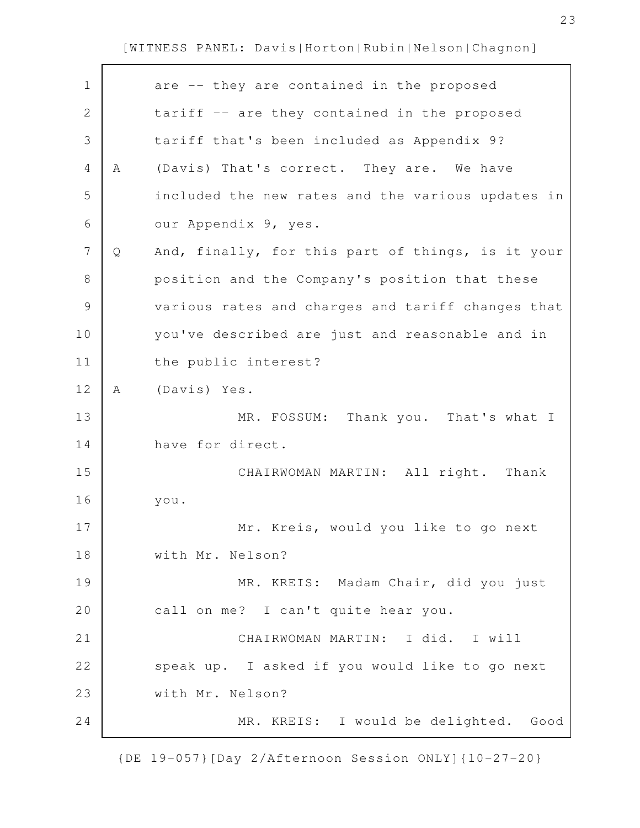| $\mathbf 1$  |              | are -- they are contained in the proposed         |
|--------------|--------------|---------------------------------------------------|
| $\mathbf{2}$ |              | tariff -- are they contained in the proposed      |
| 3            |              | tariff that's been included as Appendix 9?        |
| 4            | Α            | (Davis) That's correct. They are. We have         |
| 5            |              | included the new rates and the various updates in |
| 6            |              | our Appendix 9, yes.                              |
| 7            | $\mathsf{Q}$ | And, finally, for this part of things, is it your |
| 8            |              | position and the Company's position that these    |
| $\mathsf 9$  |              | various rates and charges and tariff changes that |
| 10           |              | you've described are just and reasonable and in   |
| 11           |              | the public interest?                              |
| 12           | Α            | (Davis) Yes.                                      |
|              |              |                                                   |
| 13           |              | MR. FOSSUM: Thank you. That's what I              |
| 14           |              | have for direct.                                  |
| 15           |              | CHAIRWOMAN MARTIN: All right. Thank               |
| 16           |              | you.                                              |
| 17           |              | Mr. Kreis, would you like to go next              |
| 18           |              | with Mr. Nelson?                                  |
| 19           |              | MR. KREIS: Madam Chair, did you just              |
| 20           |              | call on me? I can't quite hear you.               |
| 21           |              | CHAIRWOMAN MARTIN: I did. I will                  |
| 22           |              | speak up. I asked if you would like to go next    |
| 23           |              | with Mr. Nelson?                                  |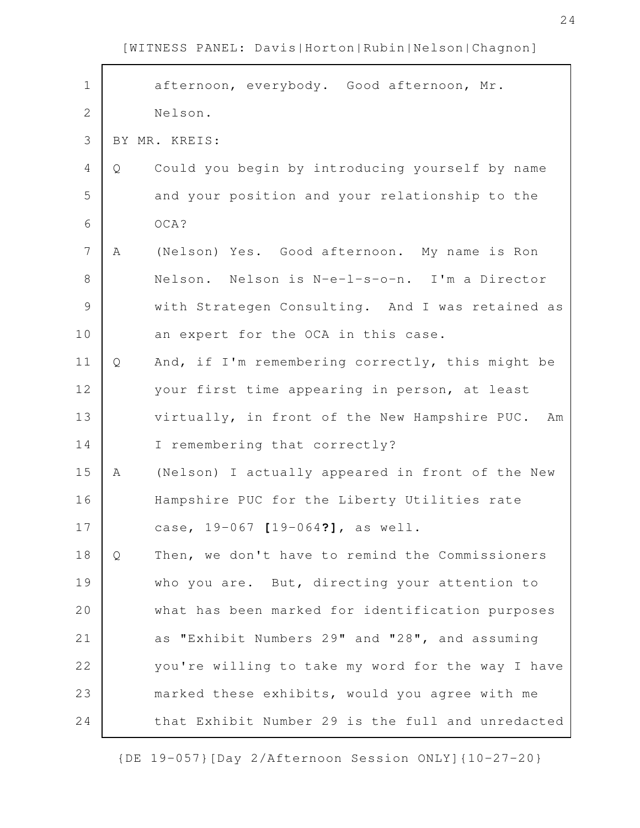$\mathbf{r}$ 

| $\mathbf 1$  |   | afternoon, everybody. Good afternoon, Mr.           |
|--------------|---|-----------------------------------------------------|
| $\mathbf{2}$ |   | Nelson.                                             |
| 3            |   | BY MR. KREIS:                                       |
| 4            | Q | Could you begin by introducing yourself by name     |
| 5            |   | and your position and your relationship to the      |
| 6            |   | OCA?                                                |
| 7            | Α | (Nelson) Yes. Good afternoon. My name is Ron        |
| 8            |   | Nelson. Nelson is N-e-l-s-o-n. I'm a Director       |
| $\mathsf 9$  |   | with Strategen Consulting. And I was retained as    |
| 10           |   | an expert for the OCA in this case.                 |
| 11           | Q | And, if I'm remembering correctly, this might be    |
| 12           |   | your first time appearing in person, at least       |
| 13           |   | virtually, in front of the New Hampshire PUC.<br>Am |
| 14           |   | I remembering that correctly?                       |
| 15           | Α | (Nelson) I actually appeared in front of the New    |
| 16           |   | Hampshire PUC for the Liberty Utilities rate        |
| 17           |   | case, 19-067 [19-064?], as well.                    |
| 18           | Q | Then, we don't have to remind the Commissioners     |
| 19           |   | who you are. But, directing your attention to       |
| 20           |   | what has been marked for identification purposes    |
| 21           |   | as "Exhibit Numbers 29" and "28", and assuming      |
| 22           |   | you're willing to take my word for the way I have   |
| 23           |   | marked these exhibits, would you agree with me      |
| 24           |   | that Exhibit Number 29 is the full and unredacted   |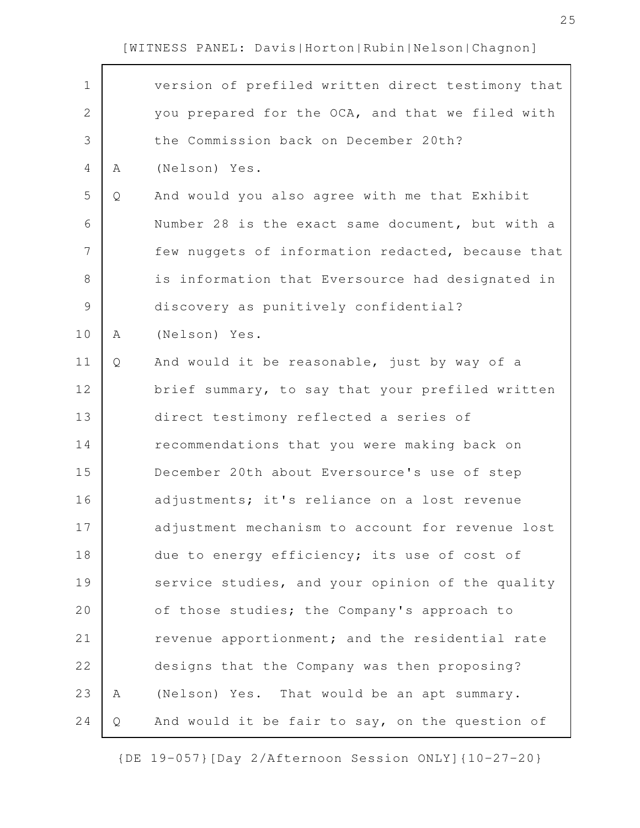$\mathbf{r}$ 

| $\mathbf 1$   |   | version of prefiled written direct testimony that |
|---------------|---|---------------------------------------------------|
| 2             |   | you prepared for the OCA, and that we filed with  |
| 3             |   | the Commission back on December 20th?             |
| 4             | Α | (Nelson) Yes.                                     |
| 5             | Q | And would you also agree with me that Exhibit     |
| 6             |   | Number 28 is the exact same document, but with a  |
| 7             |   | few nuggets of information redacted, because that |
| 8             |   | is information that Eversource had designated in  |
| $\mathcal{G}$ |   | discovery as punitively confidential?             |
| 10            | Α | (Nelson) Yes.                                     |
| 11            | Q | And would it be reasonable, just by way of a      |
| 12            |   | brief summary, to say that your prefiled written  |
| 13            |   | direct testimony reflected a series of            |
| 14            |   | recommendations that you were making back on      |
| 15            |   | December 20th about Eversource's use of step      |
| 16            |   | adjustments; it's reliance on a lost revenue      |
| 17            |   | adjustment mechanism to account for revenue lost  |
| 18            |   | due to energy efficiency; its use of cost of      |
| 19            |   | service studies, and your opinion of the quality  |
| 20            |   | of those studies; the Company's approach to       |
| 21            |   | revenue apportionment; and the residential rate   |
| 22            |   | designs that the Company was then proposing?      |
| 23            | Α | (Nelson) Yes. That would be an apt summary.       |
| 24            | Q | And would it be fair to say, on the question of   |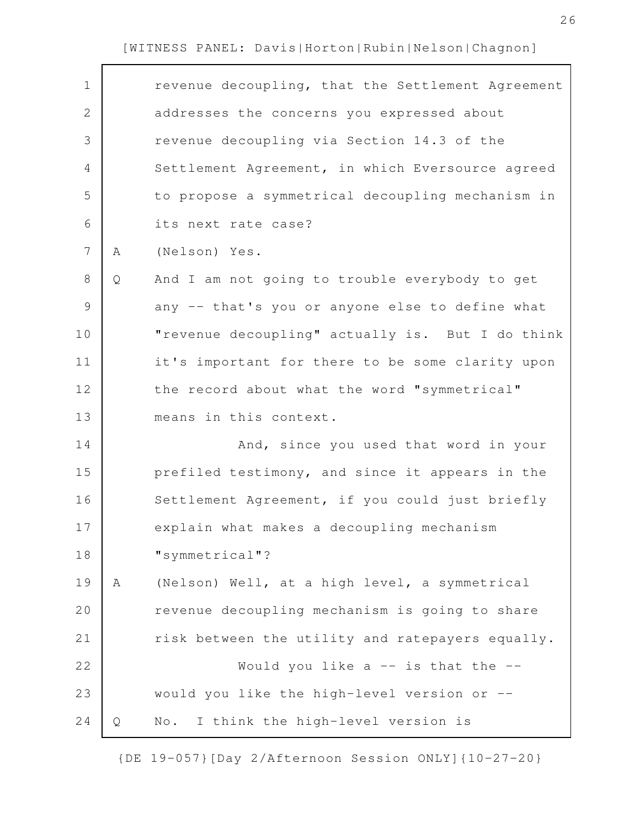$\Gamma$ 

| $\mathbf 1$    |   | revenue decoupling, that the Settlement Agreement |
|----------------|---|---------------------------------------------------|
| $\overline{2}$ |   | addresses the concerns you expressed about        |
| 3              |   | revenue decoupling via Section 14.3 of the        |
| 4              |   | Settlement Agreement, in which Eversource agreed  |
| 5              |   | to propose a symmetrical decoupling mechanism in  |
| 6              |   | its next rate case?                               |
| 7              | A | (Nelson) Yes.                                     |
| $8\,$          | Q | And I am not going to trouble everybody to get    |
| $\mathcal{G}$  |   | any -- that's you or anyone else to define what   |
| 10             |   | "revenue decoupling" actually is. But I do think  |
| 11             |   | it's important for there to be some clarity upon  |
| 12             |   | the record about what the word "symmetrical"      |
| 13             |   | means in this context.                            |
| 14             |   | And, since you used that word in your             |
| 15             |   | prefiled testimony, and since it appears in the   |
| 16             |   | Settlement Agreement, if you could just briefly   |
| 17             |   | explain what makes a decoupling mechanism         |
| 18             |   | "symmetrical"?                                    |
| 19             | Α | (Nelson) Well, at a high level, a symmetrical     |
| 20             |   | revenue decoupling mechanism is going to share    |
| 21             |   | risk between the utility and ratepayers equally.  |
| 22             |   | Would you like $a$ -- is that the --              |
| 23             |   | would you like the high-level version or --       |
| 24             | Q | I think the high-level version is<br>No.          |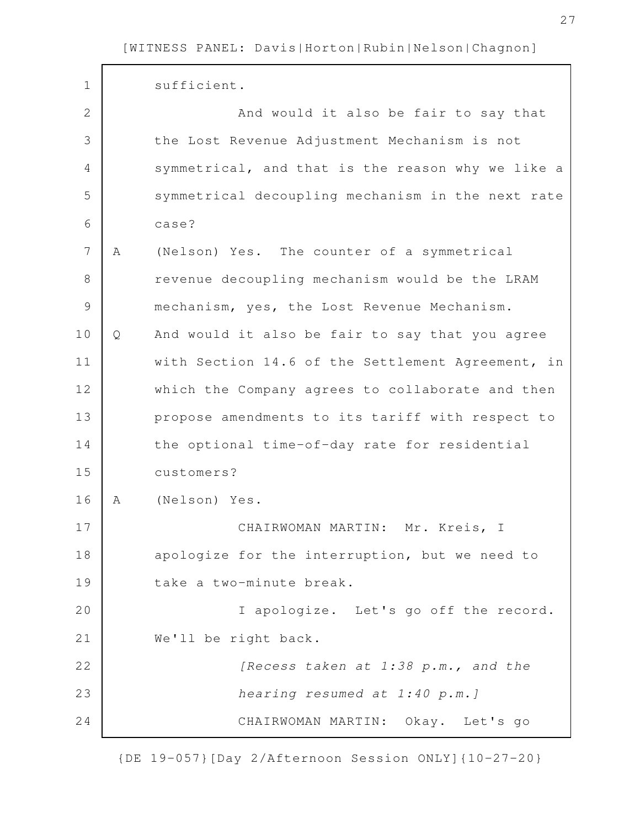| $\mathbf 1$   |   | sufficient.                                       |
|---------------|---|---------------------------------------------------|
| $\mathbf{2}$  |   | And would it also be fair to say that             |
| 3             |   | the Lost Revenue Adjustment Mechanism is not      |
| 4             |   | symmetrical, and that is the reason why we like a |
| 5             |   | symmetrical decoupling mechanism in the next rate |
| 6             |   | case?                                             |
| 7             | Α | (Nelson) Yes. The counter of a symmetrical        |
| 8             |   | revenue decoupling mechanism would be the LRAM    |
| $\mathcal{G}$ |   | mechanism, yes, the Lost Revenue Mechanism.       |
| 10            | Q | And would it also be fair to say that you agree   |
| 11            |   | with Section 14.6 of the Settlement Agreement, in |
| 12            |   | which the Company agrees to collaborate and then  |
| 13            |   | propose amendments to its tariff with respect to  |
| 14            |   | the optional time-of-day rate for residential     |
| 15            |   | customers?                                        |
| 16            | Α | (Nelson) Yes.                                     |
| 17            |   | CHAIRWOMAN MARTIN: Mr. Kreis, I                   |
| 18            |   | apologize for the interruption, but we need to    |
| 19            |   | take a two-minute break.                          |
| 20            |   | I apologize. Let's go off the record.             |
| 21            |   | We'll be right back.                              |
| 22            |   | [Recess taken at 1:38 p.m., and the               |
| 23            |   | hearing resumed at 1:40 p.m.]                     |
| 24            |   | CHAIRWOMAN MARTIN: Okay. Let's go                 |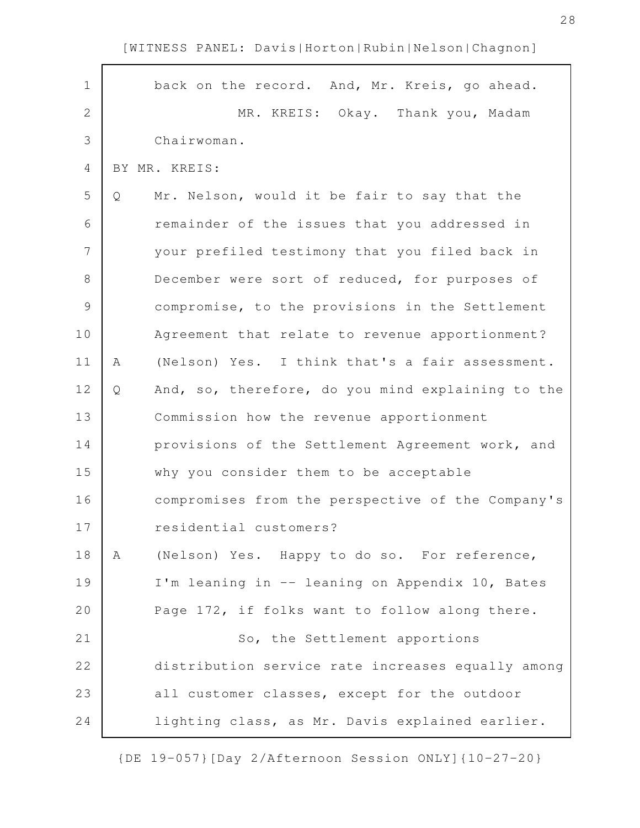back on the record. And, Mr. Kreis, go ahead. MR. KREIS: Okay. Thank you, Madam Chairwoman. BY MR. KREIS: Q Mr. Nelson, would it be fair to say that the remainder of the issues that you addressed in your prefiled testimony that you filed back in December were sort of reduced, for purposes of compromise, to the provisions in the Settlement Agreement that relate to revenue apportionment? A (Nelson) Yes. I think that's a fair assessment. Q And, so, therefore, do you mind explaining to the Commission how the revenue apportionment provisions of the Settlement Agreement work, and why you consider them to be acceptable compromises from the perspective of the Company's residential customers? A (Nelson) Yes. Happy to do so. For reference, I'm leaning in -- leaning on Appendix 10, Bates Page 172, if folks want to follow along there. So, the Settlement apportions distribution service rate increases equally among all customer classes, except for the outdoor lighting class, as Mr. Davis explained earlier. 1 2 3 4 5 6 7 8 9 10 11 12 13 14 15 16 17 18 19 20 21 22 23 24

[WITNESS PANEL: Davis|Horton|Rubin|Nelson|Chagnon]

{DE 19-057}[Day 2/Afternoon Session ONLY]{10-27-20}

28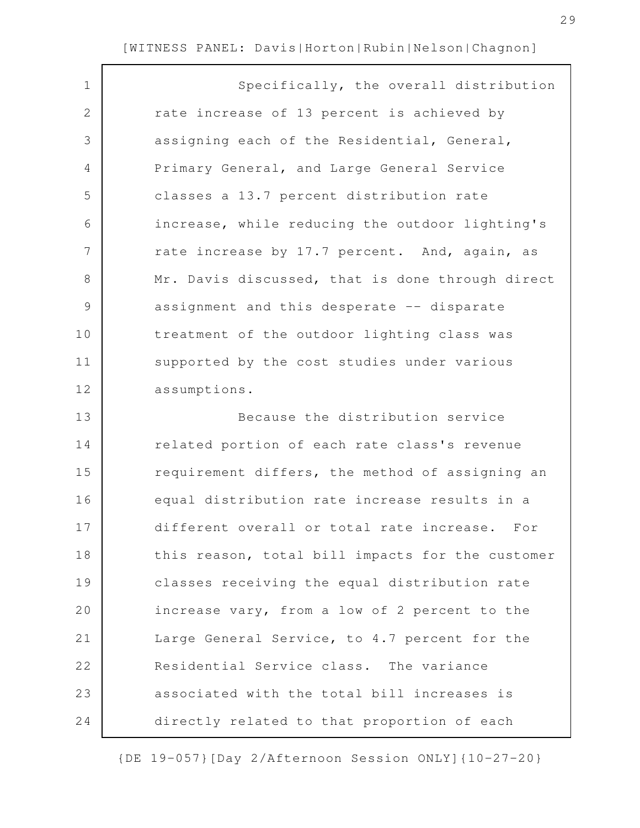| $\mathbf 1$   | Specifically, the overall distribution           |
|---------------|--------------------------------------------------|
| 2             | rate increase of 13 percent is achieved by       |
| 3             | assigning each of the Residential, General,      |
| 4             | Primary General, and Large General Service       |
| 5             | classes a 13.7 percent distribution rate         |
| 6             | increase, while reducing the outdoor lighting's  |
| 7             | rate increase by 17.7 percent. And, again, as    |
| 8             | Mr. Davis discussed, that is done through direct |
| $\mathcal{G}$ | assignment and this desperate -- disparate       |
| 10            | treatment of the outdoor lighting class was      |
| 11            | supported by the cost studies under various      |
| 12            | assumptions.                                     |
| 13            | Because the distribution service                 |
| 14            | related portion of each rate class's revenue     |
| 15            | requirement differs, the method of assigning an  |
| 16            | equal distribution rate increase results in a    |
| 17            | different overall or total rate increase. For    |
| 18            | this reason, total bill impacts for the customer |
| 19            | classes receiving the equal distribution rate    |
| 20            | increase vary, from a low of 2 percent to the    |
| 21            | Large General Service, to 4.7 percent for the    |
| 22            | Residential Service class. The variance          |
| 23            | associated with the total bill increases is      |
| 24            | directly related to that proportion of each      |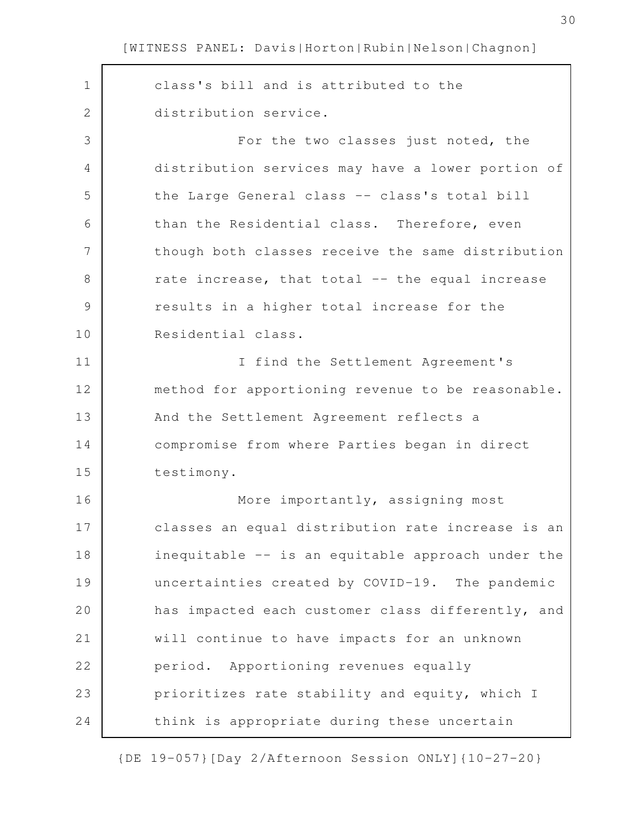class's bill and is attributed to the distribution service. For the two classes just noted, the distribution services may have a lower portion of the Large General class -- class's total bill than the Residential class. Therefore, even though both classes receive the same distribution rate increase, that total -- the equal increase results in a higher total increase for the Residential class. I find the Settlement Agreement's method for apportioning revenue to be reasonable. And the Settlement Agreement reflects a compromise from where Parties began in direct testimony. More importantly, assigning most classes an equal distribution rate increase is an inequitable -- is an equitable approach under the uncertainties created by COVID-19. The pandemic has impacted each customer class differently, and will continue to have impacts for an unknown period. Apportioning revenues equally prioritizes rate stability and equity, which I think is appropriate during these uncertain 1 2 3 4 5 6 7 8 9 10 11 12 13 14 15 16 17 18 19 20 21 22 23 24

{DE 19-057}[Day 2/Afternoon Session ONLY]{10-27-20}

30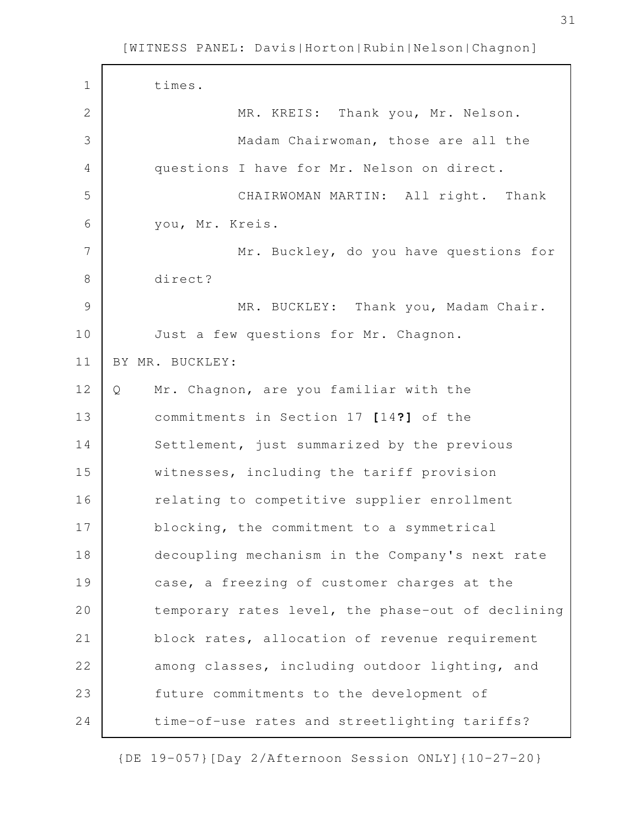| $\mathbf 1$   | times.                                            |
|---------------|---------------------------------------------------|
| 2             | MR. KREIS: Thank you, Mr. Nelson.                 |
| 3             | Madam Chairwoman, those are all the               |
| 4             | questions I have for Mr. Nelson on direct.        |
| 5             | CHAIRWOMAN MARTIN: All right. Thank               |
| 6             | you, Mr. Kreis.                                   |
| 7             | Mr. Buckley, do you have questions for            |
| $8\,$         | direct?                                           |
| $\mathcal{G}$ | MR. BUCKLEY: Thank you, Madam Chair.              |
| 10            | Just a few questions for Mr. Chagnon.             |
| 11            | BY MR. BUCKLEY:                                   |
| 12            | Mr. Chagnon, are you familiar with the<br>Q       |
| 13            | commitments in Section 17 [14?] of the            |
| 14            | Settlement, just summarized by the previous       |
| 15            | witnesses, including the tariff provision         |
| 16            | relating to competitive supplier enrollment       |
| 17            | blocking, the commitment to a symmetrical         |
| 18            | decoupling mechanism in the Company's next rate   |
| 19            | case, a freezing of customer charges at the       |
| 20            | temporary rates level, the phase-out of declining |
| 21            | block rates, allocation of revenue requirement    |
| 22            | among classes, including outdoor lighting, and    |
| 23            | future commitments to the development of          |
| 24            | time-of-use rates and streetlighting tariffs?     |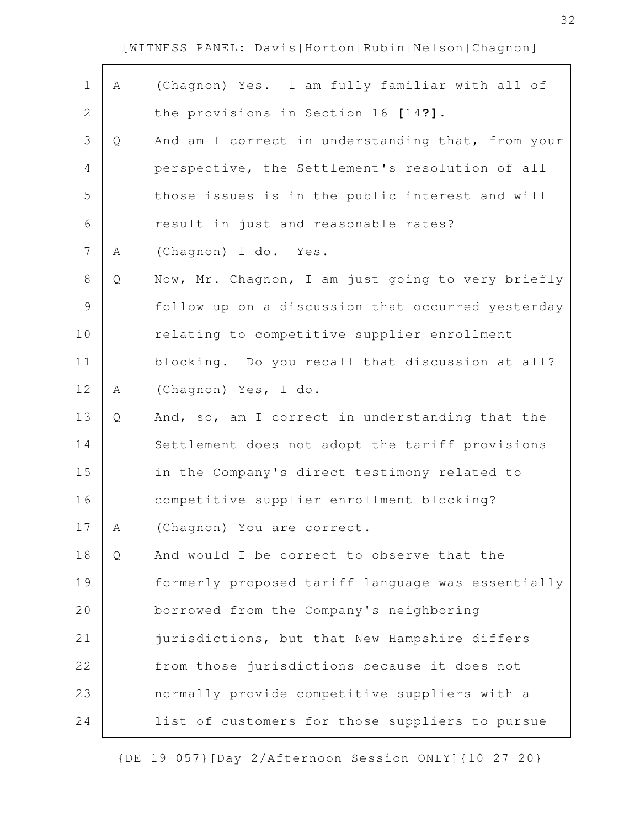$\mathbf{r}$ 

| $\mathbf 1$    | Α | (Chagnon) Yes. I am fully familiar with all of    |
|----------------|---|---------------------------------------------------|
| $\overline{2}$ |   | the provisions in Section 16 [14?].               |
| 3              | Q | And am I correct in understanding that, from your |
| 4              |   | perspective, the Settlement's resolution of all   |
| 5              |   | those issues is in the public interest and will   |
| 6              |   | result in just and reasonable rates?              |
| $\overline{7}$ | Α | (Chagnon) I do. Yes.                              |
| 8              | Q | Now, Mr. Chagnon, I am just going to very briefly |
| $\mathsf 9$    |   | follow up on a discussion that occurred yesterday |
| 10             |   | relating to competitive supplier enrollment       |
| 11             |   | blocking. Do you recall that discussion at all?   |
| 12             | Α | (Chagnon) Yes, I do.                              |
| 13             | Q | And, so, am I correct in understanding that the   |
| 14             |   | Settlement does not adopt the tariff provisions   |
| 15             |   | in the Company's direct testimony related to      |
| 16             |   | competitive supplier enrollment blocking?         |
| 17             | Α | (Chagnon) You are correct.                        |
| 18             | Q | And would I be correct to observe that the        |
| 19             |   | formerly proposed tariff language was essentially |
| 20             |   | borrowed from the Company's neighboring           |
| 21             |   | jurisdictions, but that New Hampshire differs     |
| 22             |   | from those jurisdictions because it does not      |
| 23             |   | normally provide competitive suppliers with a     |
| 24             |   | list of customers for those suppliers to pursue   |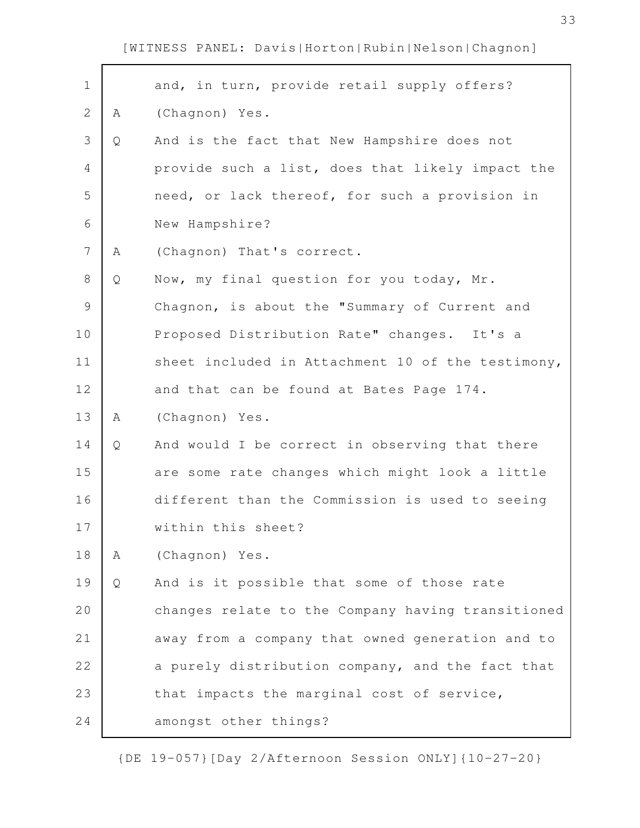| $\mathbf 1$    |   | and, in turn, provide retail supply offers?       |
|----------------|---|---------------------------------------------------|
| $\overline{2}$ | A | (Chagnon) Yes.                                    |
| 3              | Q | And is the fact that New Hampshire does not       |
| $\overline{4}$ |   | provide such a list, does that likely impact the  |
| 5              |   | need, or lack thereof, for such a provision in    |
| 6              |   | New Hampshire?                                    |
| $\overline{7}$ | A | (Chagnon) That's correct.                         |
| $\,8\,$        | Q | Now, my final question for you today, Mr.         |
|                |   |                                                   |
| $\mathcal{G}$  |   | Chagnon, is about the "Summary of Current and     |
| 10             |   | Proposed Distribution Rate" changes. It's a       |
| 11             |   | sheet included in Attachment 10 of the testimony, |
| 12             |   | and that can be found at Bates Page 174.          |
| 13             | A | (Chagnon) Yes.                                    |
| 14             | Q | And would I be correct in observing that there    |
| 15             |   | are some rate changes which might look a little   |
| 16             |   | different than the Commission is used to seeing   |
| 17             |   | within this sheet?                                |
| 18             | Α | (Chagnon) Yes.                                    |
| 19             | Q | And is it possible that some of those rate        |
| 20             |   | changes relate to the Company having transitioned |
| 21             |   | away from a company that owned generation and to  |
| 22             |   | a purely distribution company, and the fact that  |
| 23             |   | that impacts the marginal cost of service,        |
| 24             |   | amongst other things?                             |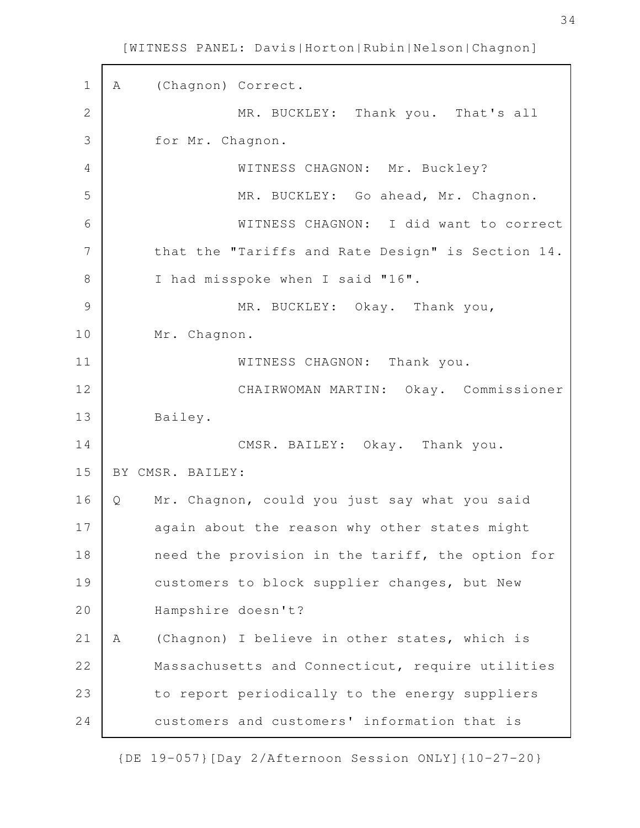A (Chagnon) Correct. MR. BUCKLEY: Thank you. That's all for Mr. Chagnon. WITNESS CHAGNON: Mr. Buckley? MR. BUCKLEY: Go ahead, Mr. Chagnon. WITNESS CHAGNON: I did want to correct that the "Tariffs and Rate Design" is Section 14. I had misspoke when I said "16". MR. BUCKLEY: Okay. Thank you, Mr. Chagnon. WITNESS CHAGNON: Thank you. CHAIRWOMAN MARTIN: Okay. Commissioner Bailey. CMSR. BAILEY: Okay. Thank you. BY CMSR. BAILEY: Q Mr. Chagnon, could you just say what you said again about the reason why other states might need the provision in the tariff, the option for customers to block supplier changes, but New Hampshire doesn't? A (Chagnon) I believe in other states, which is Massachusetts and Connecticut, require utilities to report periodically to the energy suppliers customers and customers' information that is 1 2 3 4 5 6 7 8 9 10 11 12 13 14 15 16 17 18 19 20 21 22 23 24

[WITNESS PANEL: Davis|Horton|Rubin|Nelson|Chagnon]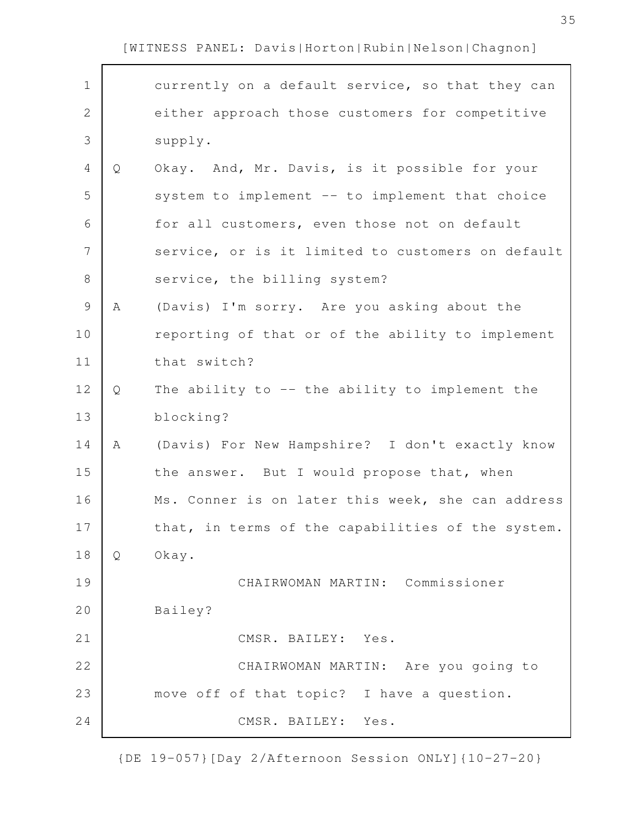$\mathbf{r}$ 

| $\mathbf 1$    |    | currently on a default service, so that they can  |
|----------------|----|---------------------------------------------------|
| $\overline{2}$ |    | either approach those customers for competitive   |
| 3              |    | supply.                                           |
| 4              | Q  | Okay. And, Mr. Davis, is it possible for your     |
| 5              |    | system to implement -- to implement that choice   |
| 6              |    | for all customers, even those not on default      |
| 7              |    | service, or is it limited to customers on default |
| $8\,$          |    | service, the billing system?                      |
| $\mathsf 9$    | Α  | (Davis) I'm sorry. Are you asking about the       |
| 10             |    | reporting of that or of the ability to implement  |
| 11             |    | that switch?                                      |
| 12             | Q  | The ability to $-$ the ability to implement the   |
| 13             |    | blocking?                                         |
| 14             | Α  | (Davis) For New Hampshire? I don't exactly know   |
| 15             |    | the answer. But I would propose that, when        |
| 16             |    | Ms. Conner is on later this week, she can address |
| 17             |    | that, in terms of the capabilities of the system. |
| 18             | Q. | Okay.                                             |
| 19             |    | CHAIRWOMAN MARTIN: Commissioner                   |
| 20             |    | Bailey?                                           |
| 21             |    | CMSR. BAILEY: Yes.                                |
| 22             |    | CHAIRWOMAN MARTIN: Are you going to               |
| 23             |    | move off of that topic? I have a question.        |
| 24             |    | CMSR. BAILEY: Yes.                                |

{DE 19-057}[Day 2/Afternoon Session ONLY]{10-27-20}

35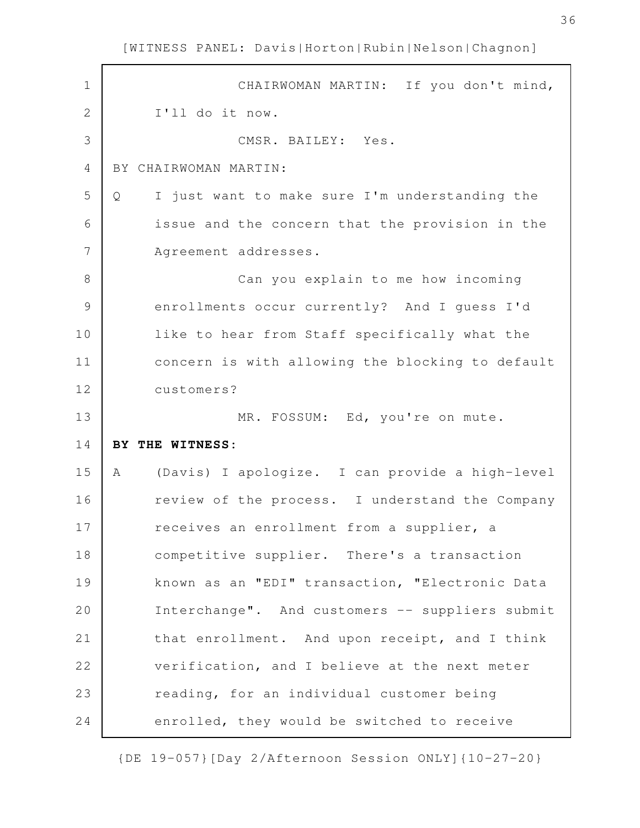CHAIRWOMAN MARTIN: If you don't mind, I'll do it now. CMSR. BAILEY: Yes. BY CHAIRWOMAN MARTIN: Q I just want to make sure I'm understanding the issue and the concern that the provision in the Agreement addresses. Can you explain to me how incoming enrollments occur currently? And I guess I'd like to hear from Staff specifically what the concern is with allowing the blocking to default customers? MR. FOSSUM: Ed, you're on mute. **BY THE WITNESS:** A (Davis) I apologize. I can provide a high-level review of the process. I understand the Company receives an enrollment from a supplier, a competitive supplier. There's a transaction known as an "EDI" transaction, "Electronic Data Interchange". And customers -- suppliers submit that enrollment. And upon receipt, and I think verification, and I believe at the next meter reading, for an individual customer being enrolled, they would be switched to receive 1 2 3 4 5 6 7 8 9 10 11 12 13 14 15 16 17 18 19 20 21 22 23 24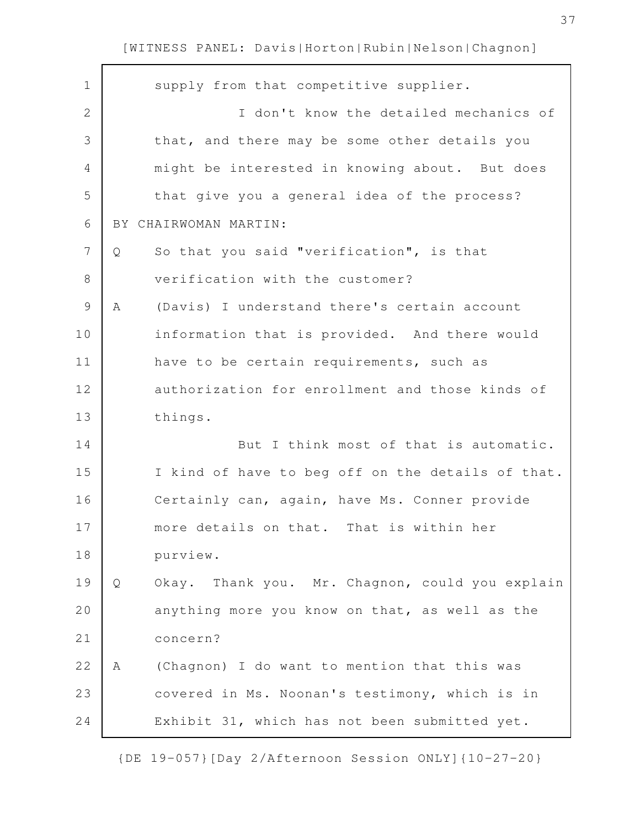| $\mathbf 1$    |   | supply from that competitive supplier.            |
|----------------|---|---------------------------------------------------|
| 2              |   | I don't know the detailed mechanics of            |
| 3              |   | that, and there may be some other details you     |
| 4              |   | might be interested in knowing about. But does    |
| 5              |   | that give you a general idea of the process?      |
| 6              |   | BY CHAIRWOMAN MARTIN:                             |
| $\overline{7}$ | Q | So that you said "verification", is that          |
| 8              |   | verification with the customer?                   |
| 9              | Α | (Davis) I understand there's certain account      |
| 10             |   | information that is provided. And there would     |
| 11             |   | have to be certain requirements, such as          |
| 12             |   | authorization for enrollment and those kinds of   |
| 13             |   | things.                                           |
| 14             |   | But I think most of that is automatic.            |
| 15             |   | I kind of have to beg off on the details of that. |
| 16             |   | Certainly can, again, have Ms. Conner provide     |
| 17             |   | more details on that. That is within her          |
| 18             |   | purview.                                          |
| 19             | Q | Okay. Thank you. Mr. Chagnon, could you explain   |
| 20             |   | anything more you know on that, as well as the    |
| 21             |   | concern?                                          |
| 22             | Α | (Chagnon) I do want to mention that this was      |
| 23             |   | covered in Ms. Noonan's testimony, which is in    |
| 24             |   | Exhibit 31, which has not been submitted yet.     |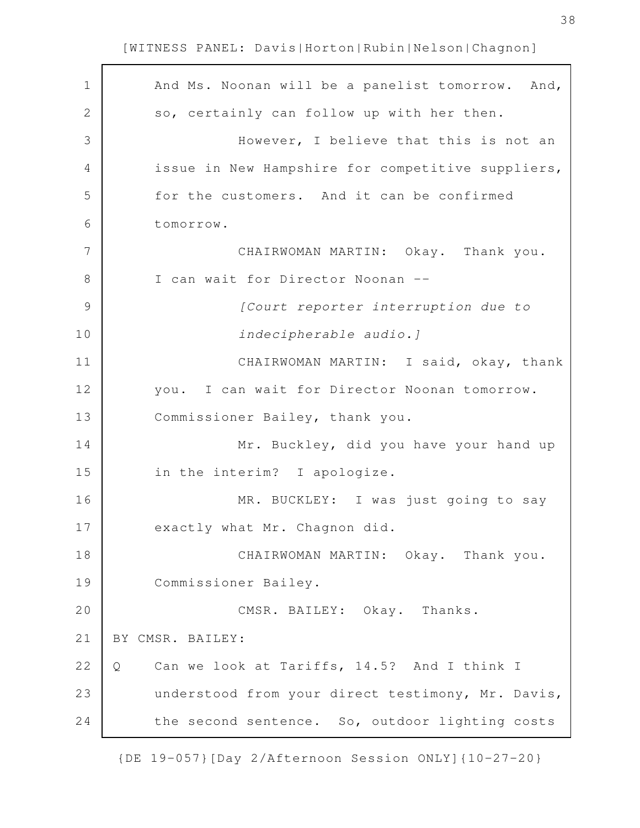| $\mathbf 1$ | And Ms. Noonan will be a panelist tomorrow. And,  |
|-------------|---------------------------------------------------|
| 2           | so, certainly can follow up with her then.        |
| 3           | However, I believe that this is not an            |
| 4           | issue in New Hampshire for competitive suppliers, |
| 5           | for the customers. And it can be confirmed        |
| 6           | tomorrow.                                         |
| 7           | CHAIRWOMAN MARTIN: Okay. Thank you.               |
| 8           | I can wait for Director Noonan --                 |
| 9           | [Court reporter interruption due to               |
| 10          | indecipherable audio.]                            |
| 11          | CHAIRWOMAN MARTIN: I said, okay, thank            |
| 12          | you. I can wait for Director Noonan tomorrow.     |
| 13          | Commissioner Bailey, thank you.                   |
| 14          | Mr. Buckley, did you have your hand up            |
| 15          | in the interim? I apologize.                      |
| 16          | MR. BUCKLEY: I was just going to say              |
| 17          | exactly what Mr. Chagnon did.                     |
| 18          | CHAIRWOMAN MARTIN: Okay. Thank you.               |
| 19          | Commissioner Bailey.                              |
| 20          | CMSR. BAILEY: Okay. Thanks.                       |
| 21          | BY CMSR. BAILEY:                                  |
| 22          | Can we look at Tariffs, 14.5? And I think I<br>Q  |
| 23          | understood from your direct testimony, Mr. Davis, |
| 24          | the second sentence. So, outdoor lighting costs   |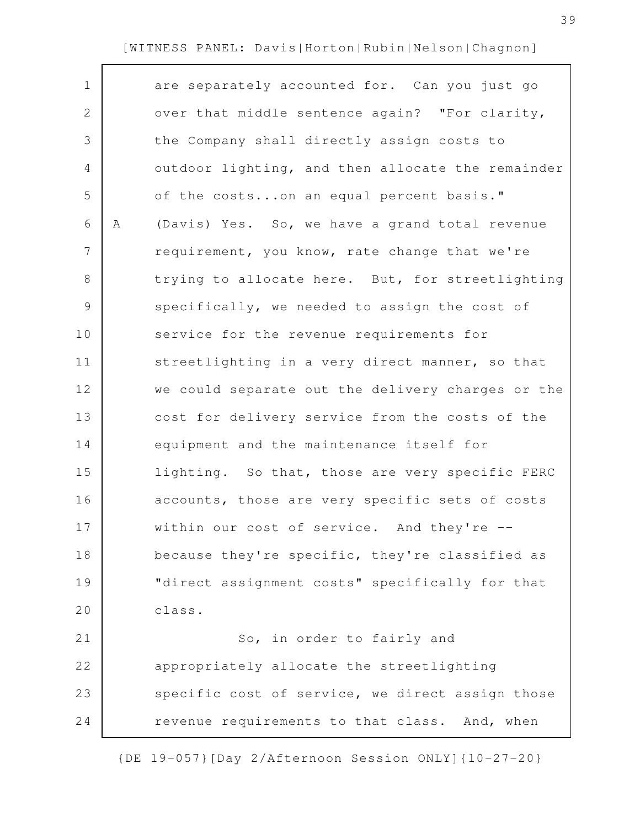| $\mathbf 1$    |   | are separately accounted for. Can you just go     |
|----------------|---|---------------------------------------------------|
| $\mathbf{2}$   |   | over that middle sentence again? "For clarity,    |
| 3              |   | the Company shall directly assign costs to        |
| 4              |   | outdoor lighting, and then allocate the remainder |
| 5              |   | of the costson an equal percent basis."           |
| 6              | Α | (Davis) Yes. So, we have a grand total revenue    |
| $\overline{7}$ |   | requirement, you know, rate change that we're     |
| 8              |   | trying to allocate here. But, for streetlighting  |
| 9              |   | specifically, we needed to assign the cost of     |
| 10             |   | service for the revenue requirements for          |
| 11             |   | streetlighting in a very direct manner, so that   |
| 12             |   | we could separate out the delivery charges or the |
| 13             |   | cost for delivery service from the costs of the   |
| 14             |   | equipment and the maintenance itself for          |
| 15             |   | lighting. So that, those are very specific FERC   |
| 16             |   | accounts, those are very specific sets of costs   |
| 17             |   | within our cost of service. And they're --        |
| 18             |   | because they're specific, they're classified as   |
| 19             |   | "direct assignment costs" specifically for that   |
| 20             |   | class.                                            |
| 21             |   | So, in order to fairly and                        |
| 22             |   | appropriately allocate the streetlighting         |
| 23             |   | specific cost of service, we direct assign those  |
| 24             |   | revenue requirements to that class. And, when     |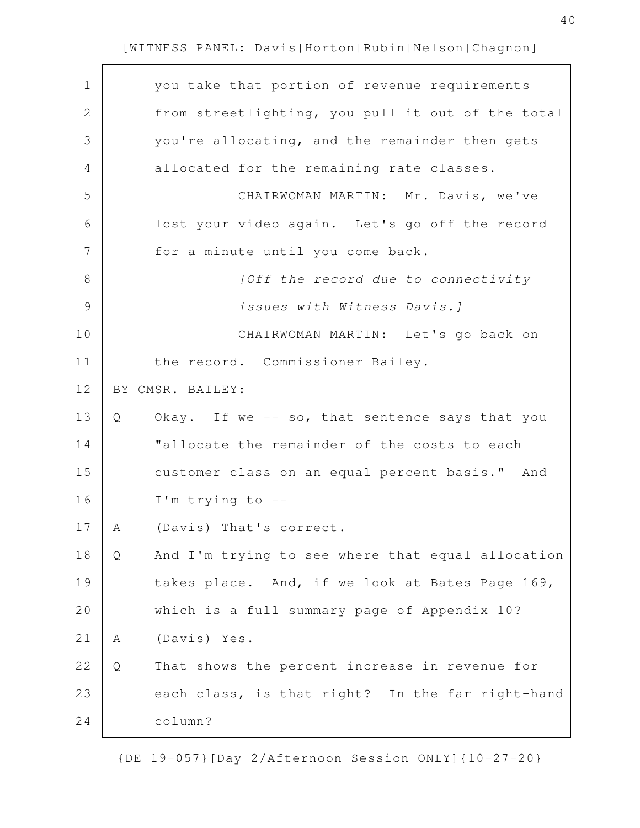| $\mathbf 1$   | you take that portion of revenue requirements          |
|---------------|--------------------------------------------------------|
| $\mathbf{2}$  | from streetlighting, you pull it out of the total      |
| 3             | you're allocating, and the remainder then gets         |
| 4             | allocated for the remaining rate classes.              |
| 5             | CHAIRWOMAN MARTIN: Mr. Davis, we've                    |
| 6             | lost your video again. Let's go off the record         |
| 7             | for a minute until you come back.                      |
| 8             | [Off the record due to connectivity                    |
| $\mathcal{G}$ | issues with Witness Davis.]                            |
| 10            | CHAIRWOMAN MARTIN: Let's go back on                    |
| 11            | the record. Commissioner Bailey.                       |
| 12            | BY CMSR. BAILEY:                                       |
| 13            | Okay. If we -- so, that sentence says that you<br>Q    |
| 14            | "allocate the remainder of the costs to each           |
| 15            | customer class on an equal percent basis." And         |
| 16            | I'm trying to $-$ -                                    |
| 17            | (Davis) That's correct.<br>A                           |
| 18            | And I'm trying to see where that equal allocation<br>Q |
| 19            | takes place. And, if we look at Bates Page 169,        |
| 20            | which is a full summary page of Appendix 10?           |
| 21            | (Davis) Yes.<br>Α                                      |
| 22            | That shows the percent increase in revenue for<br>Q    |
| 23            | each class, is that right? In the far right-hand       |
| 24            | column?                                                |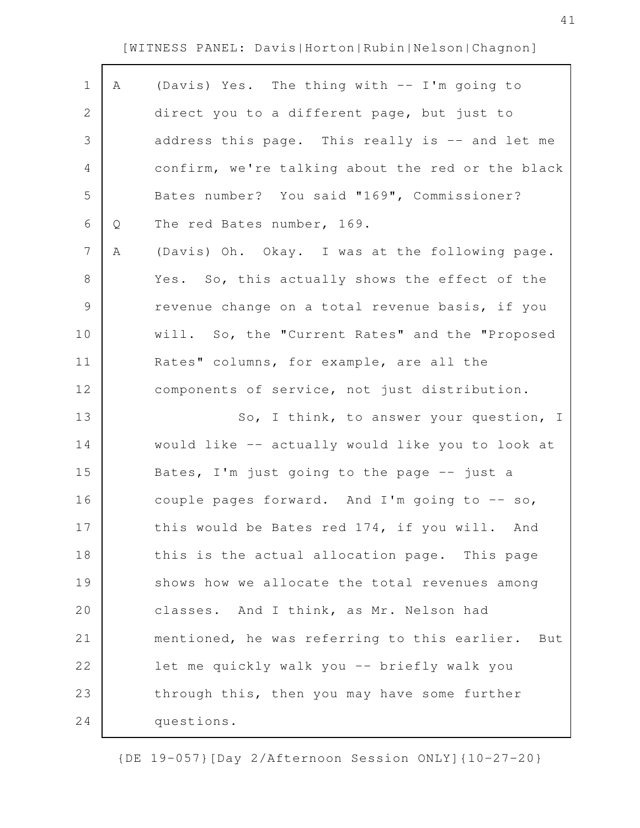| $\mathbf 1$    | Α | (Davis) Yes. The thing with -- I'm going to       |
|----------------|---|---------------------------------------------------|
| $\mathbf{2}$   |   | direct you to a different page, but just to       |
| 3              |   | address this page. This really is -- and let me   |
| 4              |   | confirm, we're talking about the red or the black |
| 5              |   | Bates number? You said "169", Commissioner?       |
| 6              | Q | The red Bates number, 169.                        |
| $\overline{7}$ | Α | (Davis) Oh. Okay. I was at the following page.    |
| 8              |   | Yes. So, this actually shows the effect of the    |
| 9              |   | revenue change on a total revenue basis, if you   |
| 10             |   | will. So, the "Current Rates" and the "Proposed   |
| 11             |   | Rates" columns, for example, are all the          |
| 12             |   | components of service, not just distribution.     |
| 13             |   | So, I think, to answer your question, I           |
| 14             |   | would like -- actually would like you to look at  |
| 15             |   | Bates, I'm just going to the page $-$ just a      |
| 16             |   | couple pages forward. And I'm going to -- so,     |
| 17             |   | this would be Bates red 174, if you will. And     |
| 18             |   | this is the actual allocation page. This page     |
| 19             |   | shows how we allocate the total revenues among    |
| 20             |   | classes. And I think, as Mr. Nelson had           |
| 21             |   | mentioned, he was referring to this earlier. But  |
| 22             |   | let me quickly walk you -- briefly walk you       |
| 23             |   | through this, then you may have some further      |
| 24             |   | questions.                                        |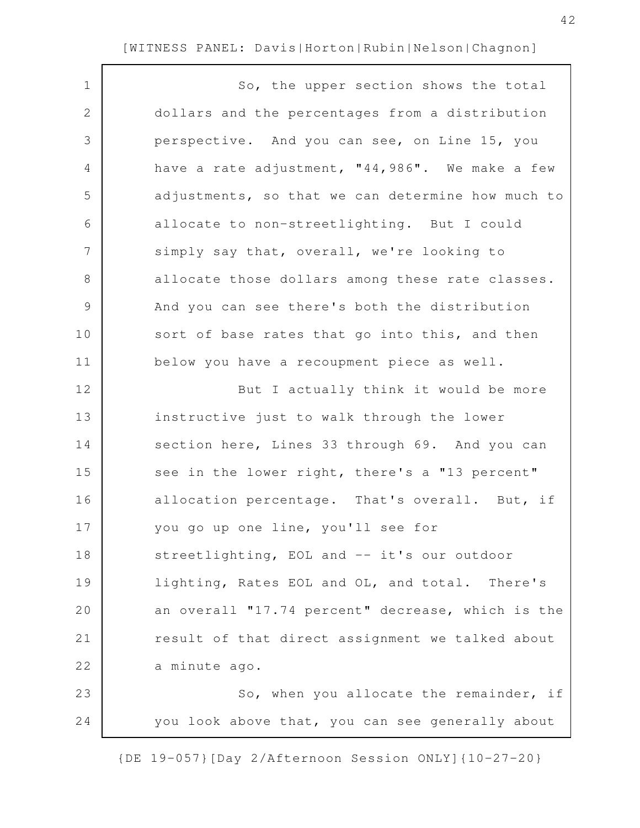$\Gamma$ 

| $\mathbf 1$   | So, the upper section shows the total             |
|---------------|---------------------------------------------------|
| $\mathbf{2}$  | dollars and the percentages from a distribution   |
| 3             | perspective. And you can see, on Line 15, you     |
| 4             | have a rate adjustment, "44,986". We make a few   |
| 5             | adjustments, so that we can determine how much to |
| 6             | allocate to non-streetlighting. But I could       |
| 7             | simply say that, overall, we're looking to        |
| 8             | allocate those dollars among these rate classes.  |
| $\mathcal{G}$ | And you can see there's both the distribution     |
| 10            | sort of base rates that go into this, and then    |
| 11            | below you have a recoupment piece as well.        |
| 12            | But I actually think it would be more             |
| 13            | instructive just to walk through the lower        |
| 14            | section here, Lines 33 through 69. And you can    |
| 15            | see in the lower right, there's a "13 percent"    |
| 16            | allocation percentage. That's overall. But, if    |
| 17            | you go up one line, you'll see for                |
| 18            | streetlighting, EOL and -- it's our outdoor       |
| 19            | lighting, Rates EOL and OL, and total. There's    |
| 20            | an overall "17.74 percent" decrease, which is the |
| 21            | result of that direct assignment we talked about  |
| 22            | a minute ago.                                     |
| 23            | So, when you allocate the remainder, if           |
| 24            | you look above that, you can see generally about  |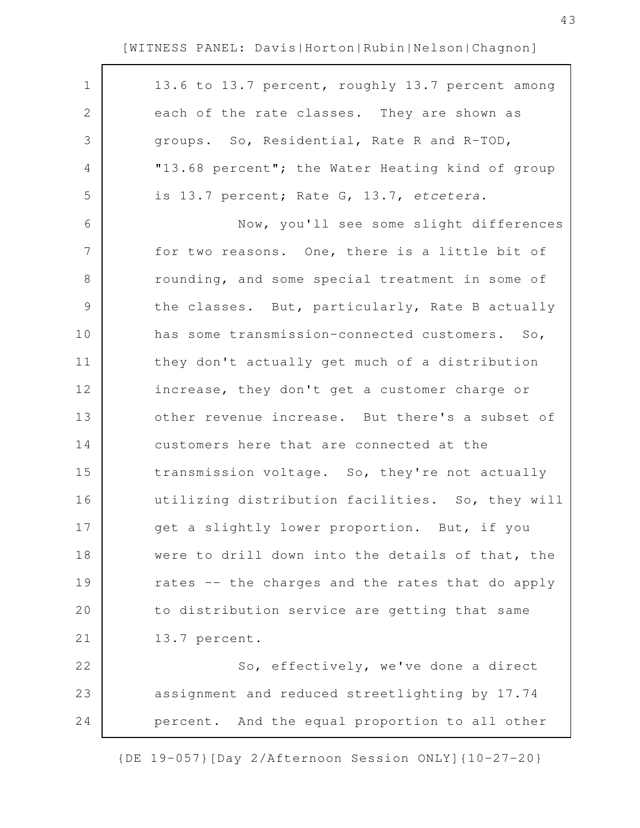| $\mathbf 1$    | 13.6 to 13.7 percent, roughly 13.7 percent among |
|----------------|--------------------------------------------------|
| $\mathbf{2}$   | each of the rate classes. They are shown as      |
| 3              | groups. So, Residential, Rate R and R-TOD,       |
| 4              | "13.68 percent"; the Water Heating kind of group |
| 5              | is 13.7 percent; Rate G, 13.7, etcetera.         |
| 6              | Now, you'll see some slight differences          |
| $\overline{7}$ | for two reasons. One, there is a little bit of   |
| 8              | rounding, and some special treatment in some of  |
| $\mathsf 9$    | the classes. But, particularly, Rate B actually  |
| 10             | has some transmission-connected customers. So,   |
| 11             | they don't actually get much of a distribution   |
| 12             | increase, they don't get a customer charge or    |
| 13             | other revenue increase. But there's a subset of  |
| 14             | customers here that are connected at the         |
| 15             | transmission voltage. So, they're not actually   |
| 16             | utilizing distribution facilities. So, they will |
| 17             | get a slightly lower proportion. But, if you     |
| 18             | were to drill down into the details of that, the |
| 19             | rates -- the charges and the rates that do apply |
| 20             | to distribution service are getting that same    |
| 21             | 13.7 percent.                                    |
| 22             | So, effectively, we've done a direct             |
| 23             | assignment and reduced streetlighting by 17.74   |
| 24             | percent. And the equal proportion to all other   |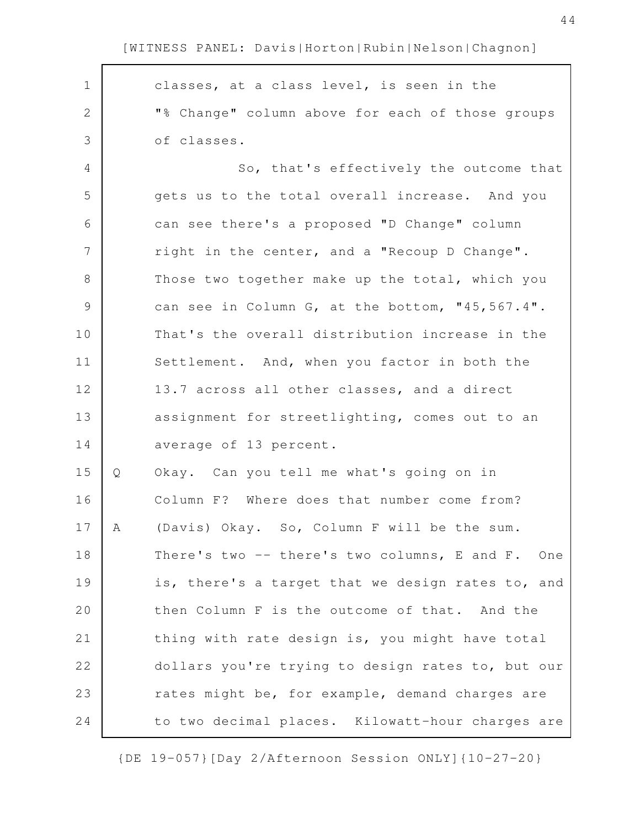| $\mathbf 1$  |   | classes, at a class level, is seen in the         |
|--------------|---|---------------------------------------------------|
| $\mathbf{2}$ |   | "% Change" column above for each of those groups  |
| 3            |   | of classes.                                       |
| 4            |   | So, that's effectively the outcome that           |
| 5            |   | gets us to the total overall increase. And you    |
| 6            |   | can see there's a proposed "D Change" column      |
| 7            |   | right in the center, and a "Recoup D Change".     |
| 8            |   | Those two together make up the total, which you   |
| 9            |   | can see in Column G, at the bottom, "45,567.4".   |
| 10           |   | That's the overall distribution increase in the   |
| 11           |   | Settlement. And, when you factor in both the      |
| 12           |   | 13.7 across all other classes, and a direct       |
| 13           |   | assignment for streetlighting, comes out to an    |
| 14           |   | average of 13 percent.                            |
| 15           | Q | Okay. Can you tell me what's going on in          |
| 16           |   | Column F? Where does that number come from?       |
| 17           | A | (Davis) Okay. So, Column F will be the sum.       |
| 18           |   | There's two -- there's two columns, E and F. One  |
| 19           |   | is, there's a target that we design rates to, and |
| 20           |   | then Column F is the outcome of that. And the     |
| 21           |   | thing with rate design is, you might have total   |
| 22           |   | dollars you're trying to design rates to, but our |
| 23           |   | rates might be, for example, demand charges are   |
| 24           |   | to two decimal places. Kilowatt-hour charges are  |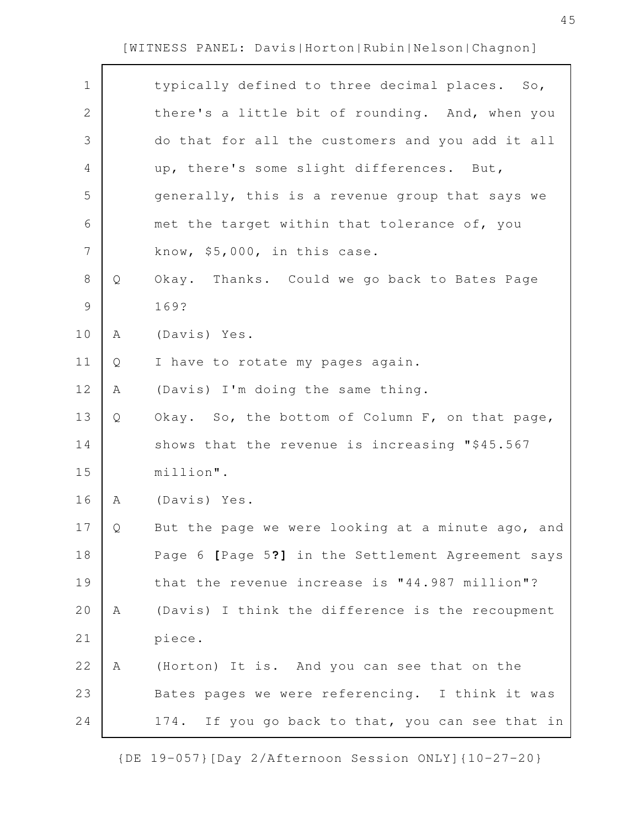| $\mathbf 1$    |   | typically defined to three decimal places. So,      |
|----------------|---|-----------------------------------------------------|
| $\mathbf{2}$   |   | there's a little bit of rounding. And, when you     |
| 3              |   | do that for all the customers and you add it all    |
| 4              |   | up, there's some slight differences. But,           |
| 5              |   | generally, this is a revenue group that says we     |
| $\sqrt{6}$     |   | met the target within that tolerance of, you        |
| $\overline{7}$ |   | know, \$5,000, in this case.                        |
| $\,8\,$        | Q | Okay. Thanks. Could we go back to Bates Page        |
| $\mathcal{G}$  |   | 169?                                                |
| 10             | Α | (Davis) Yes.                                        |
| 11             | Q | I have to rotate my pages again.                    |
| 12             | Α | (Davis) I'm doing the same thing.                   |
| 13             | Q | Okay. So, the bottom of Column F, on that page,     |
| 14             |   | shows that the revenue is increasing "\$45.567      |
| 15             |   | million".                                           |
| 16             | Α | (Davis) Yes.                                        |
| 17             | Q | But the page we were looking at a minute ago, and   |
| 18             |   | Page 6 [Page 5?] in the Settlement Agreement says   |
| 19             |   | that the revenue increase is "44.987 million"?      |
| 20             | A | (Davis) I think the difference is the recoupment    |
| 21             |   | piece.                                              |
| 22             | Α | (Horton) It is. And you can see that on the         |
| 23             |   | Bates pages we were referencing. I think it was     |
| 24             |   | If you go back to that, you can see that in<br>174. |
|                |   |                                                     |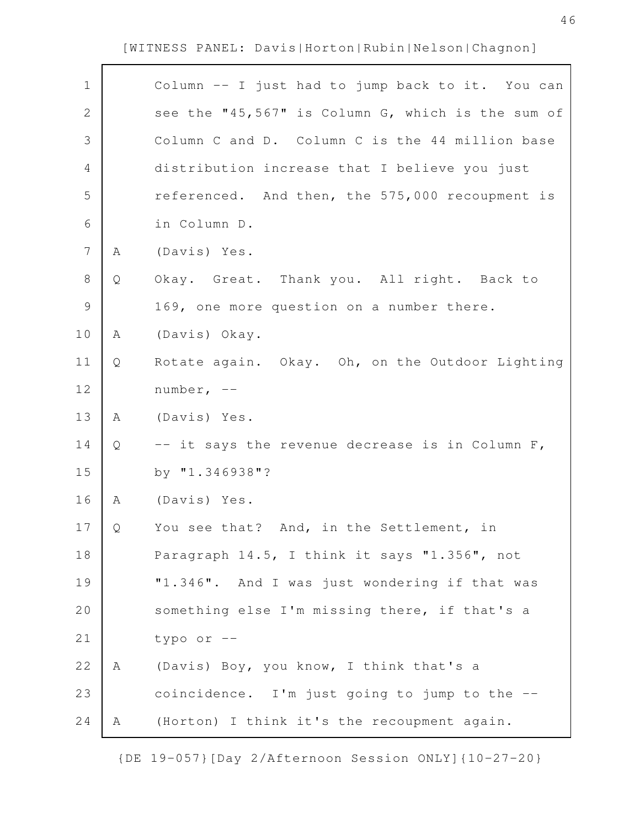| $\mathbf 1$    |   | Column -- I just had to jump back to it. You can  |
|----------------|---|---------------------------------------------------|
| $\mathbf{2}$   |   | see the "45,567" is Column G, which is the sum of |
| 3              |   | Column C and D. Column C is the 44 million base   |
| $\overline{4}$ |   | distribution increase that I believe you just     |
| 5              |   | referenced. And then, the 575,000 recoupment is   |
| $\sqrt{6}$     |   | in Column D.                                      |
| $\overline{7}$ | Α | (Davis) Yes.                                      |
| $8\,$          | Q | Okay. Great. Thank you. All right. Back to        |
| $\mathcal{G}$  |   | 169, one more question on a number there.         |
| 10             | A | (Davis) Okay.                                     |
| 11             | Q | Rotate again. Okay. Oh, on the Outdoor Lighting   |
| 12             |   | number, $--$                                      |
| 13             | A | (Davis) Yes.                                      |
| 14             | Q | -- it says the revenue decrease is in Column F,   |
| 15             |   | by "1.346938"?                                    |
| 16             | A | (Davis) Yes.                                      |
| 17             | Q | You see that? And, in the Settlement, in          |
| 18             |   | Paragraph 14.5, I think it says "1.356", not      |
| 19             |   | "1.346". And I was just wondering if that was     |
| 20             |   | something else I'm missing there, if that's a     |
| 21             |   | typo or --                                        |
| 22             | A | (Davis) Boy, you know, I think that's a           |
| 23             |   | coincidence. I'm just going to jump to the --     |
| 24             | Α | (Horton) I think it's the recoupment again.       |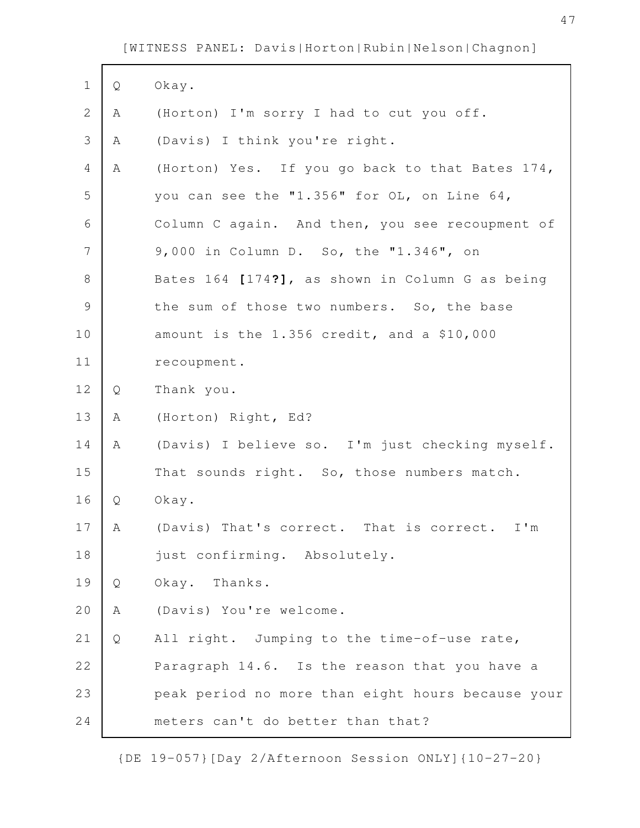Г

| $\mathbf 1$   | Q | Okay.                                             |
|---------------|---|---------------------------------------------------|
| $\mathbf{2}$  | Α | (Horton) I'm sorry I had to cut you off.          |
| 3             | Α | (Davis) I think you're right.                     |
| 4             | Α | (Horton) Yes. If you go back to that Bates 174,   |
| 5             |   | you can see the "1.356" for OL, on Line 64,       |
| 6             |   | Column C again. And then, you see recoupment of   |
| 7             |   | 9,000 in Column D. So, the "1.346", on            |
| $8\,$         |   | Bates 164 [174?], as shown in Column G as being   |
| $\mathcal{G}$ |   | the sum of those two numbers. So, the base        |
| 10            |   | amount is the 1.356 credit, and a \$10,000        |
| 11            |   | recoupment.                                       |
| 12            | Q | Thank you.                                        |
| 13            | Α | (Horton) Right, Ed?                               |
| 14            | Α | (Davis) I believe so. I'm just checking myself.   |
| 15            |   | That sounds right. So, those numbers match.       |
| 16            | Q | Okay.                                             |
| 17            | Α | (Davis) That's correct. That is correct. I'm      |
| 18            |   | just confirming. Absolutely.                      |
| 19            | Q | Okay. Thanks.                                     |
| 20            | Α | (Davis) You're welcome.                           |
| 21            | Q | All right. Jumping to the time-of-use rate,       |
| 22            |   | Paragraph 14.6. Is the reason that you have a     |
| 23            |   | peak period no more than eight hours because your |
| 24            |   | meters can't do better than that?                 |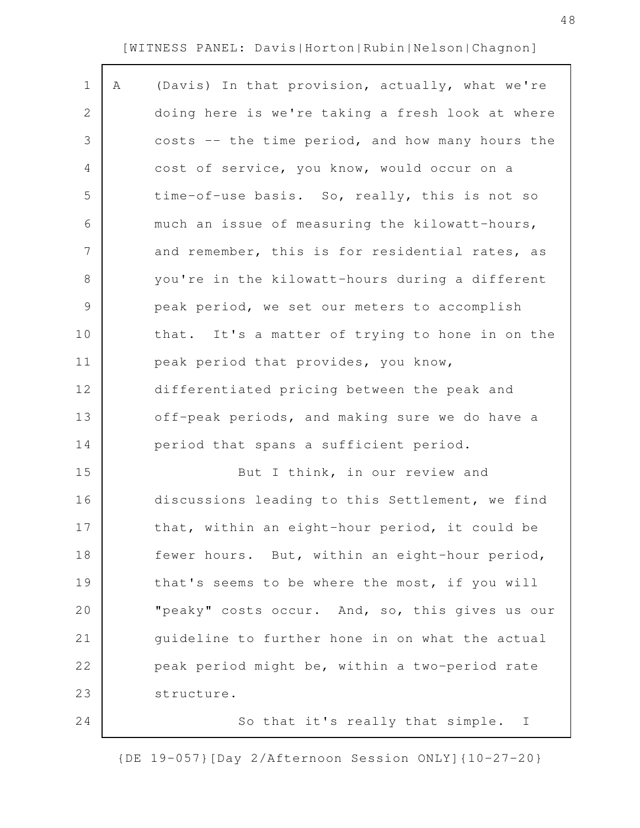| $\mathbf 1$    | Α | (Davis) In that provision, actually, what we're  |
|----------------|---|--------------------------------------------------|
| $\mathbf{2}$   |   | doing here is we're taking a fresh look at where |
| 3              |   | costs -- the time period, and how many hours the |
| $\overline{4}$ |   | cost of service, you know, would occur on a      |
| 5              |   | time-of-use basis. So, really, this is not so    |
| 6              |   | much an issue of measuring the kilowatt-hours,   |
| $\overline{7}$ |   | and remember, this is for residential rates, as  |
| $\,8\,$        |   | you're in the kilowatt-hours during a different  |
| $\mathsf 9$    |   | peak period, we set our meters to accomplish     |
| 10             |   | that. It's a matter of trying to hone in on the  |
| 11             |   | peak period that provides, you know,             |
| 12             |   | differentiated pricing between the peak and      |
| 13             |   | off-peak periods, and making sure we do have a   |
| 14             |   | period that spans a sufficient period.           |
| 15             |   | But I think, in our review and                   |
| 16             |   | discussions leading to this Settlement, we find  |
| 17             |   | that, within an eight-hour period, it could be   |
| 18             |   | fewer hours. But, within an eight-hour period,   |
| 19             |   | that's seems to be where the most, if you will   |
| 20             |   | "peaky" costs occur. And, so, this gives us our  |
| 21             |   | guideline to further hone in on what the actual  |
| 22             |   | peak period might be, within a two-period rate   |
| 23             |   | structure.                                       |
| 24             |   | So that it's really that simple.<br>$\mathbb{I}$ |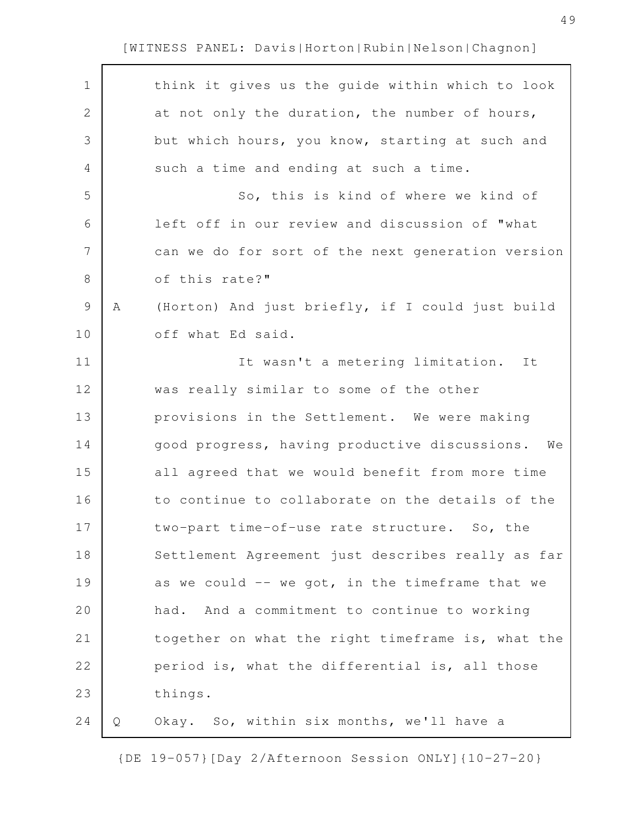$\mathbf{r}$ 

| $\mathbf 1$    |   | think it gives us the guide within which to look  |
|----------------|---|---------------------------------------------------|
| $\mathbf{2}$   |   | at not only the duration, the number of hours,    |
| 3              |   | but which hours, you know, starting at such and   |
| 4              |   | such a time and ending at such a time.            |
| 5              |   | So, this is kind of where we kind of              |
| 6              |   | left off in our review and discussion of "what    |
| $\overline{7}$ |   | can we do for sort of the next generation version |
| $\,8\,$        |   | of this rate?"                                    |
| $\mathsf{S}$   | Α | (Horton) And just briefly, if I could just build  |
| 10             |   | off what Ed said.                                 |
| 11             |   | It wasn't a metering limitation.<br>It            |
| 12             |   | was really similar to some of the other           |
| 13             |   | provisions in the Settlement. We were making      |
| 14             |   | good progress, having productive discussions. We  |
|                |   |                                                   |
| 15             |   | all agreed that we would benefit from more time   |
| 16             |   | to continue to collaborate on the details of the  |
| 17             |   | two-part time-of-use rate structure. So, the      |
| 18             |   | Settlement Agreement just describes really as far |
| 19             |   | as we could -- we got, in the timeframe that we   |
| 20             |   | had. And a commitment to continue to working      |
| 21             |   | together on what the right timeframe is, what the |
| 22             |   | period is, what the differential is, all those    |
| 23             |   | things.                                           |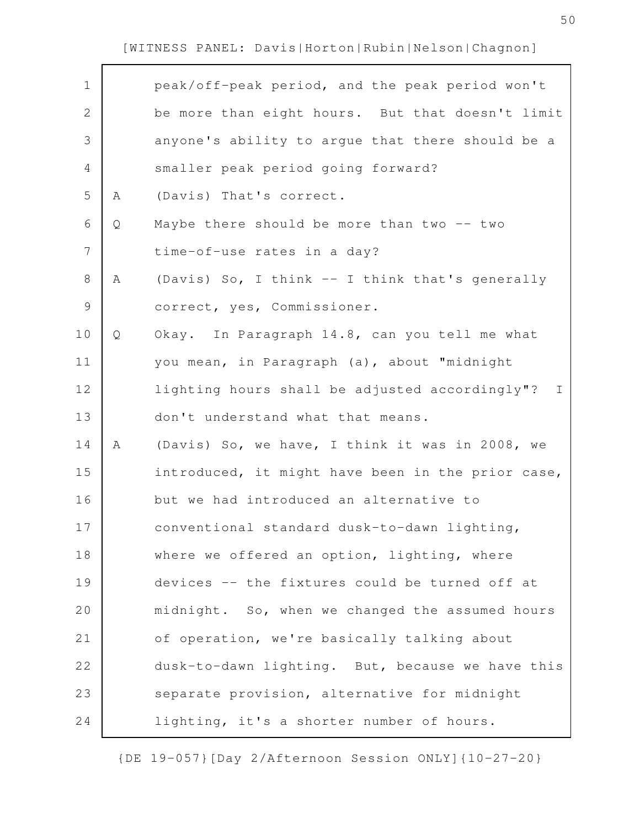$\mathbf{r}$ 

| $\mathbf 1$    |   | peak/off-peak period, and the peak period won't                |
|----------------|---|----------------------------------------------------------------|
| $\overline{2}$ |   | be more than eight hours. But that doesn't limit               |
| 3              |   | anyone's ability to argue that there should be a               |
| 4              |   | smaller peak period going forward?                             |
| 5              | Α | (Davis) That's correct.                                        |
| 6              | Q | Maybe there should be more than two -- two                     |
| 7              |   | time-of-use rates in a day?                                    |
| 8              | Α | (Davis) So, I think -- I think that's generally                |
| $\mathsf 9$    |   | correct, yes, Commissioner.                                    |
| 10             | Q | Okay. In Paragraph 14.8, can you tell me what                  |
| 11             |   | you mean, in Paragraph (a), about "midnight                    |
| 12             |   | lighting hours shall be adjusted accordingly"?<br>$\mathbb{I}$ |
| 13             |   | don't understand what that means.                              |
| 14             | Α | (Davis) So, we have, I think it was in 2008, we                |
| 15             |   | introduced, it might have been in the prior case,              |
| 16             |   | but we had introduced an alternative to                        |
| 17             |   | conventional standard dusk-to-dawn lighting,                   |
| 18             |   | where we offered an option, lighting, where                    |
| 19             |   |                                                                |
|                |   | devices -- the fixtures could be turned off at                 |
| 20             |   | midnight. So, when we changed the assumed hours                |
| 21             |   | of operation, we're basically talking about                    |
| 22             |   | dusk-to-dawn lighting. But, because we have this               |
| 23             |   | separate provision, alternative for midnight                   |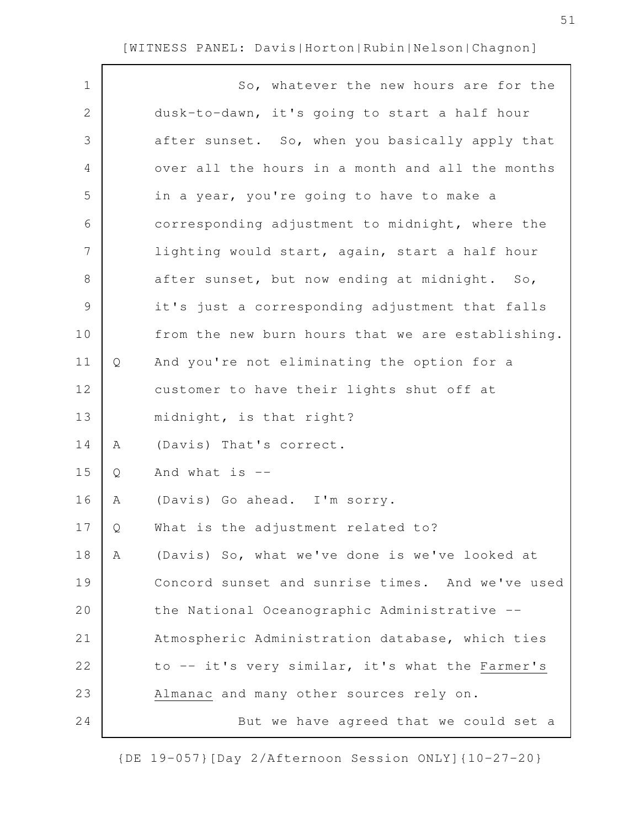| $\mathbf 1$   |   | So, whatever the new hours are for the            |
|---------------|---|---------------------------------------------------|
| 2             |   | dusk-to-dawn, it's going to start a half hour     |
| 3             |   | after sunset. So, when you basically apply that   |
| 4             |   | over all the hours in a month and all the months  |
| 5             |   | in a year, you're going to have to make a         |
| 6             |   | corresponding adjustment to midnight, where the   |
| 7             |   | lighting would start, again, start a half hour    |
| $\,8\,$       |   | after sunset, but now ending at midnight. So,     |
| $\mathcal{G}$ |   | it's just a corresponding adjustment that falls   |
| 10            |   | from the new burn hours that we are establishing. |
| 11            | Q | And you're not eliminating the option for a       |
| 12            |   | customer to have their lights shut off at         |
| 13            |   | midnight, is that right?                          |
| 14            | Α | (Davis) That's correct.                           |
| 15            | Q | And what is $--$                                  |
| 16            | Α | (Davis) Go ahead. I'm sorry.                      |
| 17            | Q | What is the adjustment related to?                |
| 18            | Α | (Davis) So, what we've done is we've looked at    |
| 19            |   | Concord sunset and sunrise times. And we've used  |
| 20            |   | the National Oceanographic Administrative --      |
| 21            |   | Atmospheric Administration database, which ties   |
| 22            |   | to -- it's very similar, it's what the Farmer's   |
| 23            |   | Almanac and many other sources rely on.           |
| 24            |   | But we have agreed that we could set a            |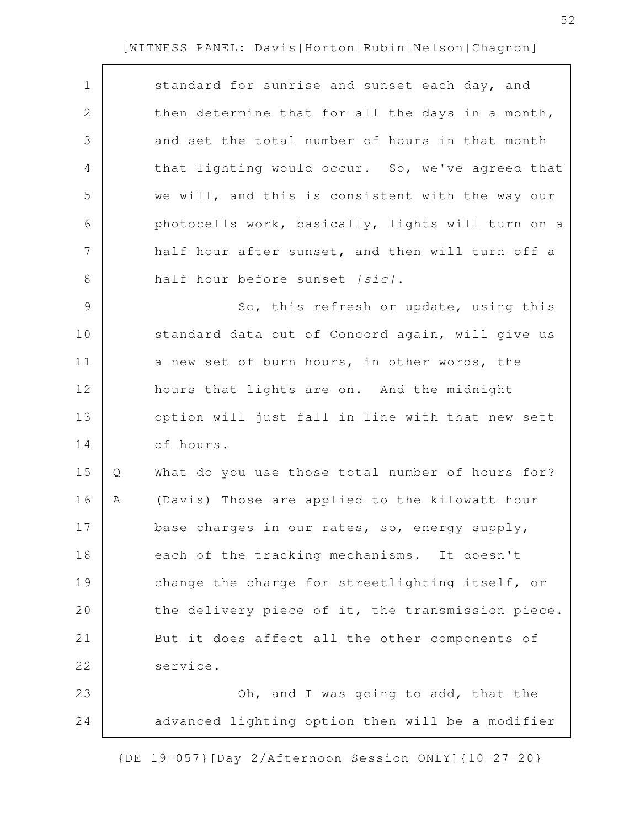| $\mathbf 1$    |   | standard for sunrise and sunset each day, and     |
|----------------|---|---------------------------------------------------|
| $\mathbf{2}$   |   | then determine that for all the days in a month,  |
| 3              |   | and set the total number of hours in that month   |
| $\overline{4}$ |   | that lighting would occur. So, we've agreed that  |
| 5              |   | we will, and this is consistent with the way our  |
| 6              |   | photocells work, basically, lights will turn on a |
| 7              |   | half hour after sunset, and then will turn off a  |
| 8              |   | half hour before sunset [sic].                    |
| $\overline{9}$ |   | So, this refresh or update, using this            |
| 10             |   | standard data out of Concord again, will give us  |
| 11             |   | a new set of burn hours, in other words, the      |
| 12             |   | hours that lights are on. And the midnight        |
| 13             |   | option will just fall in line with that new sett  |
| 14             |   | of hours.                                         |
| 15             | Q | What do you use those total number of hours for?  |
| 16             | Α | (Davis) Those are applied to the kilowatt-hour    |
| 17             |   | base charges in our rates, so, energy supply,     |
| 18             |   | each of the tracking mechanisms. It doesn't       |
| 19             |   | change the charge for streetlighting itself, or   |
| 20             |   | the delivery piece of it, the transmission piece. |
| 21             |   | But it does affect all the other components of    |
| 22             |   | service.                                          |
| 23             |   | Oh, and I was going to add, that the              |
| 24             |   | advanced lighting option then will be a modifier  |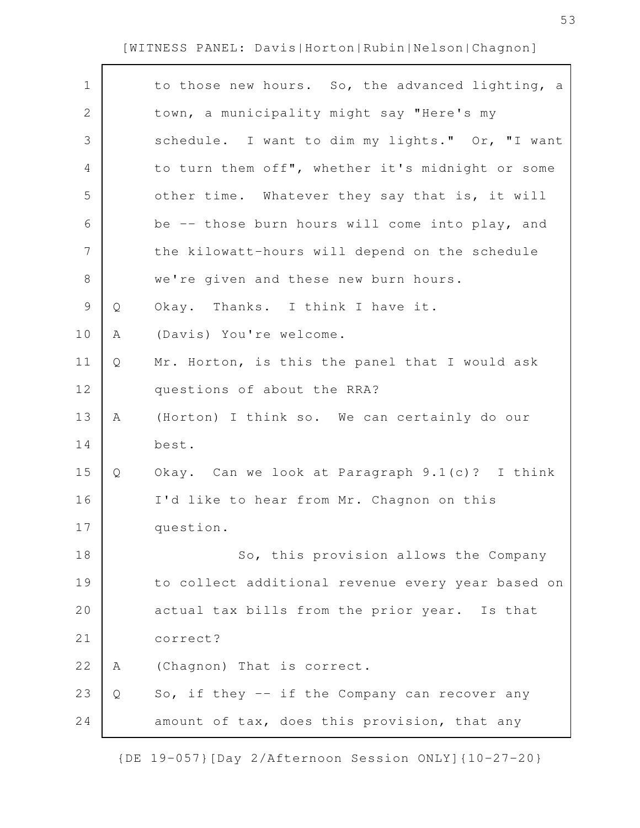$\Gamma$ 

| $\mathbf 1$  |   | to those new hours. So, the advanced lighting, a  |
|--------------|---|---------------------------------------------------|
| $\mathbf{2}$ |   | town, a municipality might say "Here's my         |
| 3            |   | schedule. I want to dim my lights." Or, "I want   |
| 4            |   | to turn them off", whether it's midnight or some  |
| 5            |   | other time. Whatever they say that is, it will    |
| 6            |   | be -- those burn hours will come into play, and   |
| 7            |   | the kilowatt-hours will depend on the schedule    |
| 8            |   | we're given and these new burn hours.             |
| $\mathsf 9$  | Q | Okay. Thanks. I think I have it.                  |
| 10           | Α | (Davis) You're welcome.                           |
| 11           | Q | Mr. Horton, is this the panel that I would ask    |
| 12           |   | questions of about the RRA?                       |
| 13           | Α | (Horton) I think so. We can certainly do our      |
| 14           |   | best.                                             |
| 15           | Q | Okay. Can we look at Paragraph 9.1(c)? I think    |
| 16           |   | I'd like to hear from Mr. Chagnon on this         |
| 17           |   | question.                                         |
| 18           |   | So, this provision allows the Company             |
| 19           |   | to collect additional revenue every year based on |
| 20           |   | actual tax bills from the prior year. Is that     |
| 21           |   | correct?                                          |
| 22           | Α | (Chagnon) That is correct.                        |
| 23           | Q | So, if they -- if the Company can recover any     |
| 24           |   | amount of tax, does this provision, that any      |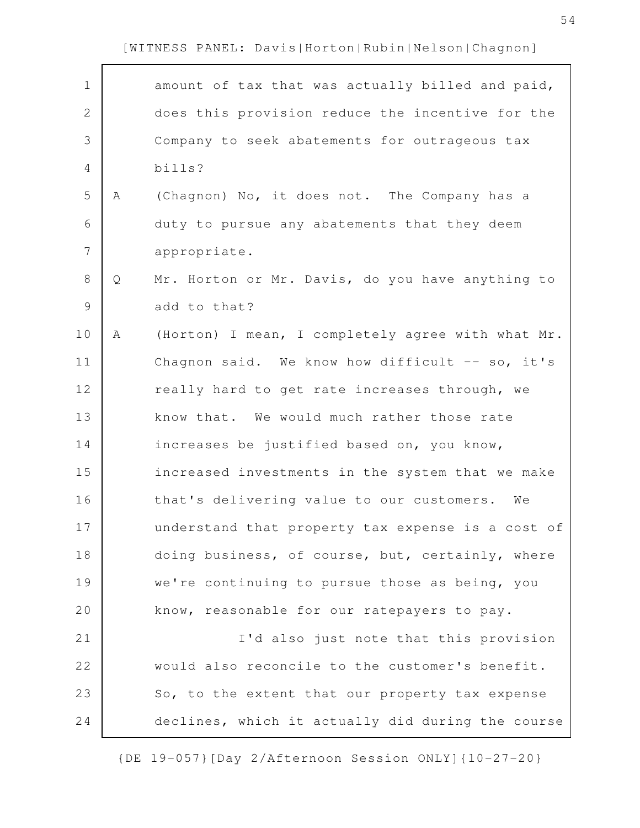$\mathbf{r}$ 

| $\mathbf 1$    |   | amount of tax that was actually billed and paid,  |
|----------------|---|---------------------------------------------------|
| $\overline{2}$ |   | does this provision reduce the incentive for the  |
| 3              |   | Company to seek abatements for outrageous tax     |
| 4              |   | bills?                                            |
| 5              | A | (Chagnon) No, it does not. The Company has a      |
| 6              |   | duty to pursue any abatements that they deem      |
| 7              |   | appropriate.                                      |
| 8              | Q | Mr. Horton or Mr. Davis, do you have anything to  |
| $\mathsf 9$    |   | add to that?                                      |
| 10             | Α | (Horton) I mean, I completely agree with what Mr. |
| 11             |   | Chagnon said. We know how difficult -- so, it's   |
| 12             |   | really hard to get rate increases through, we     |
| 13             |   | know that. We would much rather those rate        |
| 14             |   | increases be justified based on, you know,        |
| 15             |   | increased investments in the system that we make  |
| 16             |   | that's delivering value to our customers. We      |
| 17             |   | understand that property tax expense is a cost of |
| 18             |   | doing business, of course, but, certainly, where  |
| 19             |   | we're continuing to pursue those as being, you    |
| 20             |   | know, reasonable for our ratepayers to pay.       |
| 21             |   | I'd also just note that this provision            |
| 22             |   | would also reconcile to the customer's benefit.   |
| 23             |   | So, to the extent that our property tax expense   |
| 24             |   | declines, which it actually did during the course |

{DE 19-057}[Day 2/Afternoon Session ONLY]{10-27-20}

54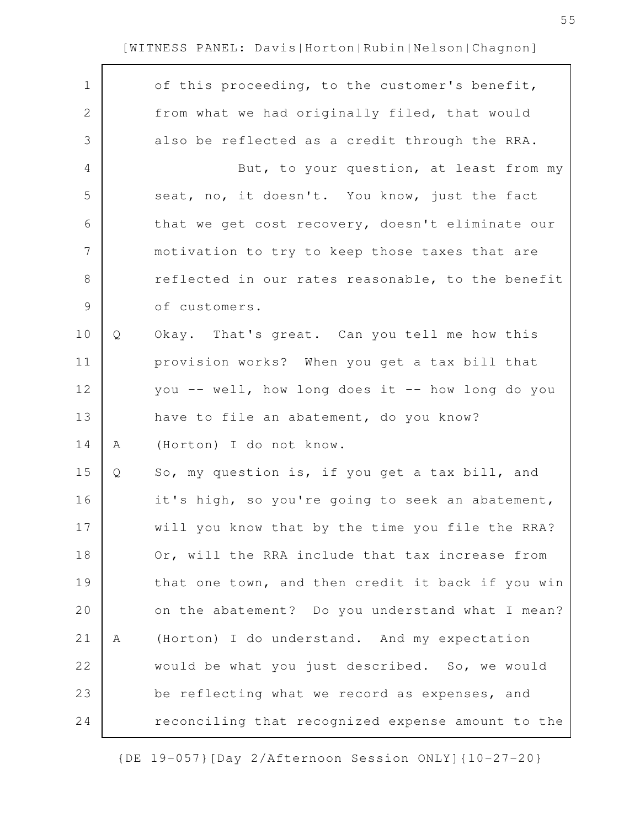| $\mathbf 1$    |   | of this proceeding, to the customer's benefit,    |
|----------------|---|---------------------------------------------------|
| 2              |   | from what we had originally filed, that would     |
| 3              |   | also be reflected as a credit through the RRA.    |
| 4              |   | But, to your question, at least from my           |
| 5              |   | seat, no, it doesn't. You know, just the fact     |
| 6              |   | that we get cost recovery, doesn't eliminate our  |
| $\overline{7}$ |   | motivation to try to keep those taxes that are    |
| 8              |   | reflected in our rates reasonable, to the benefit |
| $\mathsf 9$    |   | of customers.                                     |
| 10             | Q | Okay. That's great. Can you tell me how this      |
| 11             |   | provision works? When you get a tax bill that     |
| 12             |   | you -- well, how long does it -- how long do you  |
| 13             |   | have to file an abatement, do you know?           |
| 14             | Α | (Horton) I do not know.                           |
| 15             | Q | So, my question is, if you get a tax bill, and    |
| 16             |   | it's high, so you're going to seek an abatement,  |
| 17             |   | will you know that by the time you file the RRA?  |
| 18             |   | Or, will the RRA include that tax increase from   |
| 19             |   | that one town, and then credit it back if you win |
| 20             |   | on the abatement? Do you understand what I mean?  |
| 21             | Α | (Horton) I do understand. And my expectation      |
| 22             |   | would be what you just described. So, we would    |
| 23             |   | be reflecting what we record as expenses, and     |
| 24             |   | reconciling that recognized expense amount to the |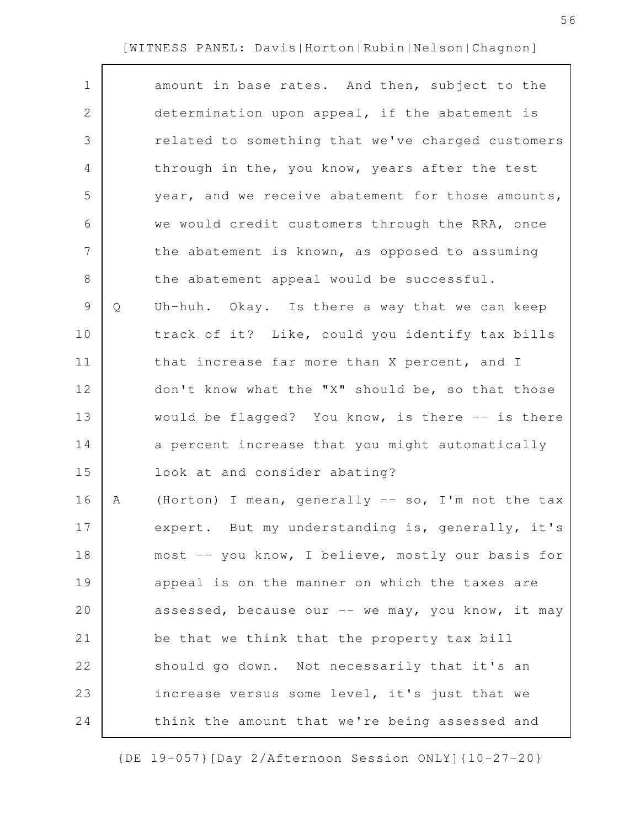| $\mathbf 1$    |   | amount in base rates. And then, subject to the    |
|----------------|---|---------------------------------------------------|
| 2              |   | determination upon appeal, if the abatement is    |
| 3              |   | related to something that we've charged customers |
| $\overline{4}$ |   | through in the, you know, years after the test    |
| 5              |   | year, and we receive abatement for those amounts, |
| 6              |   | we would credit customers through the RRA, once   |
| $\overline{7}$ |   | the abatement is known, as opposed to assuming    |
| 8              |   | the abatement appeal would be successful.         |
| $\mathsf 9$    | Q | Uh-huh. Okay. Is there a way that we can keep     |
| 10             |   | track of it? Like, could you identify tax bills   |
| 11             |   | that increase far more than X percent, and I      |
| 12             |   | don't know what the "X" should be, so that those  |
| 13             |   | would be flagged? You know, is there -- is there  |
| 14             |   | a percent increase that you might automatically   |
|                |   |                                                   |
| 15             |   | look at and consider abating?                     |
| 16             | Α | (Horton) I mean, generally -- so, I'm not the tax |
| 17             |   | expert. But my understanding is, generally, it's  |
| 18             |   | most -- you know, I believe, mostly our basis for |
| 19             |   | appeal is on the manner on which the taxes are    |
| 20             |   | assessed, because our -- we may, you know, it may |
| 21             |   | be that we think that the property tax bill       |
| 22             |   | should go down. Not necessarily that it's an      |
| 23             |   | increase versus some level, it's just that we     |
| 24             |   | think the amount that we're being assessed and    |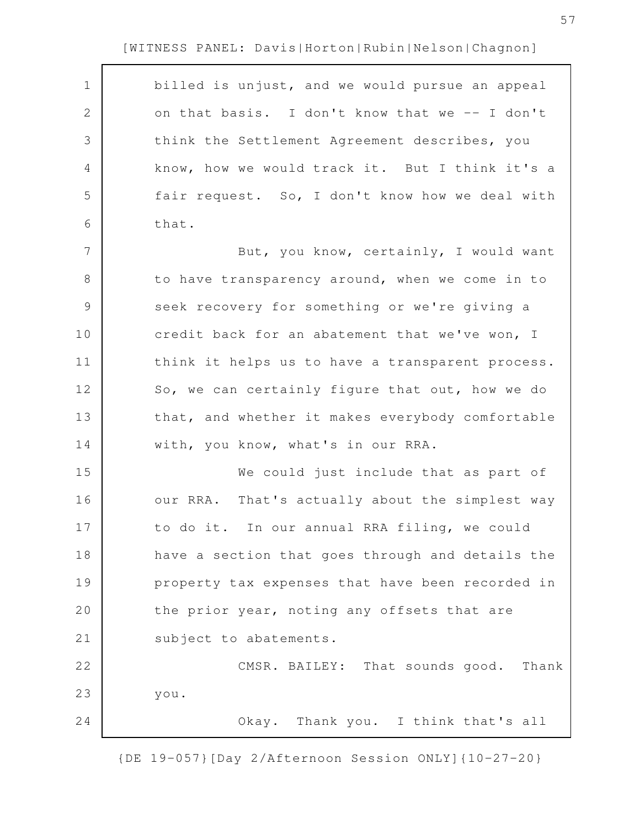$\Gamma$ 

| $\mathbf{2}$<br>on that basis. I don't know that we -- I don't<br>3<br>think the Settlement Agreement describes, you<br>know, how we would track it. But I think it's a<br>4<br>5<br>fair request. So, I don't know how we deal with<br>6<br>that.<br>7<br>But, you know, certainly, I would want<br>8<br>to have transparency around, when we come in to<br>9<br>seek recovery for something or we're giving a<br>10<br>credit back for an abatement that we've won, I<br>11<br>think it helps us to have a transparent process.<br>12<br>So, we can certainly figure that out, how we do<br>13<br>that, and whether it makes everybody comfortable<br>14<br>with, you know, what's in our RRA.<br>15<br>We could just include that as part of<br>16<br>our RRA. That's actually about the simplest way<br>17<br>to do it. In our annual RRA filing, we could<br>18<br>have a section that goes through and details the<br>19<br>property tax expenses that have been recorded in<br>20<br>the prior year, noting any offsets that are<br>21<br>subject to abatements.<br>22<br>CMSR. BAILEY: That sounds good. Thank<br>23<br>you.<br>24<br>Okay. Thank you. I think that's all | $\mathbf 1$ | billed is unjust, and we would pursue an appeal |
|-----------------------------------------------------------------------------------------------------------------------------------------------------------------------------------------------------------------------------------------------------------------------------------------------------------------------------------------------------------------------------------------------------------------------------------------------------------------------------------------------------------------------------------------------------------------------------------------------------------------------------------------------------------------------------------------------------------------------------------------------------------------------------------------------------------------------------------------------------------------------------------------------------------------------------------------------------------------------------------------------------------------------------------------------------------------------------------------------------------------------------------------------------------------------------------|-------------|-------------------------------------------------|
|                                                                                                                                                                                                                                                                                                                                                                                                                                                                                                                                                                                                                                                                                                                                                                                                                                                                                                                                                                                                                                                                                                                                                                                   |             |                                                 |
|                                                                                                                                                                                                                                                                                                                                                                                                                                                                                                                                                                                                                                                                                                                                                                                                                                                                                                                                                                                                                                                                                                                                                                                   |             |                                                 |
|                                                                                                                                                                                                                                                                                                                                                                                                                                                                                                                                                                                                                                                                                                                                                                                                                                                                                                                                                                                                                                                                                                                                                                                   |             |                                                 |
|                                                                                                                                                                                                                                                                                                                                                                                                                                                                                                                                                                                                                                                                                                                                                                                                                                                                                                                                                                                                                                                                                                                                                                                   |             |                                                 |
|                                                                                                                                                                                                                                                                                                                                                                                                                                                                                                                                                                                                                                                                                                                                                                                                                                                                                                                                                                                                                                                                                                                                                                                   |             |                                                 |
|                                                                                                                                                                                                                                                                                                                                                                                                                                                                                                                                                                                                                                                                                                                                                                                                                                                                                                                                                                                                                                                                                                                                                                                   |             |                                                 |
|                                                                                                                                                                                                                                                                                                                                                                                                                                                                                                                                                                                                                                                                                                                                                                                                                                                                                                                                                                                                                                                                                                                                                                                   |             |                                                 |
|                                                                                                                                                                                                                                                                                                                                                                                                                                                                                                                                                                                                                                                                                                                                                                                                                                                                                                                                                                                                                                                                                                                                                                                   |             |                                                 |
|                                                                                                                                                                                                                                                                                                                                                                                                                                                                                                                                                                                                                                                                                                                                                                                                                                                                                                                                                                                                                                                                                                                                                                                   |             |                                                 |
|                                                                                                                                                                                                                                                                                                                                                                                                                                                                                                                                                                                                                                                                                                                                                                                                                                                                                                                                                                                                                                                                                                                                                                                   |             |                                                 |
|                                                                                                                                                                                                                                                                                                                                                                                                                                                                                                                                                                                                                                                                                                                                                                                                                                                                                                                                                                                                                                                                                                                                                                                   |             |                                                 |
|                                                                                                                                                                                                                                                                                                                                                                                                                                                                                                                                                                                                                                                                                                                                                                                                                                                                                                                                                                                                                                                                                                                                                                                   |             |                                                 |
|                                                                                                                                                                                                                                                                                                                                                                                                                                                                                                                                                                                                                                                                                                                                                                                                                                                                                                                                                                                                                                                                                                                                                                                   |             |                                                 |
|                                                                                                                                                                                                                                                                                                                                                                                                                                                                                                                                                                                                                                                                                                                                                                                                                                                                                                                                                                                                                                                                                                                                                                                   |             |                                                 |
|                                                                                                                                                                                                                                                                                                                                                                                                                                                                                                                                                                                                                                                                                                                                                                                                                                                                                                                                                                                                                                                                                                                                                                                   |             |                                                 |
|                                                                                                                                                                                                                                                                                                                                                                                                                                                                                                                                                                                                                                                                                                                                                                                                                                                                                                                                                                                                                                                                                                                                                                                   |             |                                                 |
|                                                                                                                                                                                                                                                                                                                                                                                                                                                                                                                                                                                                                                                                                                                                                                                                                                                                                                                                                                                                                                                                                                                                                                                   |             |                                                 |
|                                                                                                                                                                                                                                                                                                                                                                                                                                                                                                                                                                                                                                                                                                                                                                                                                                                                                                                                                                                                                                                                                                                                                                                   |             |                                                 |
|                                                                                                                                                                                                                                                                                                                                                                                                                                                                                                                                                                                                                                                                                                                                                                                                                                                                                                                                                                                                                                                                                                                                                                                   |             |                                                 |
|                                                                                                                                                                                                                                                                                                                                                                                                                                                                                                                                                                                                                                                                                                                                                                                                                                                                                                                                                                                                                                                                                                                                                                                   |             |                                                 |
|                                                                                                                                                                                                                                                                                                                                                                                                                                                                                                                                                                                                                                                                                                                                                                                                                                                                                                                                                                                                                                                                                                                                                                                   |             |                                                 |
|                                                                                                                                                                                                                                                                                                                                                                                                                                                                                                                                                                                                                                                                                                                                                                                                                                                                                                                                                                                                                                                                                                                                                                                   |             |                                                 |
|                                                                                                                                                                                                                                                                                                                                                                                                                                                                                                                                                                                                                                                                                                                                                                                                                                                                                                                                                                                                                                                                                                                                                                                   |             |                                                 |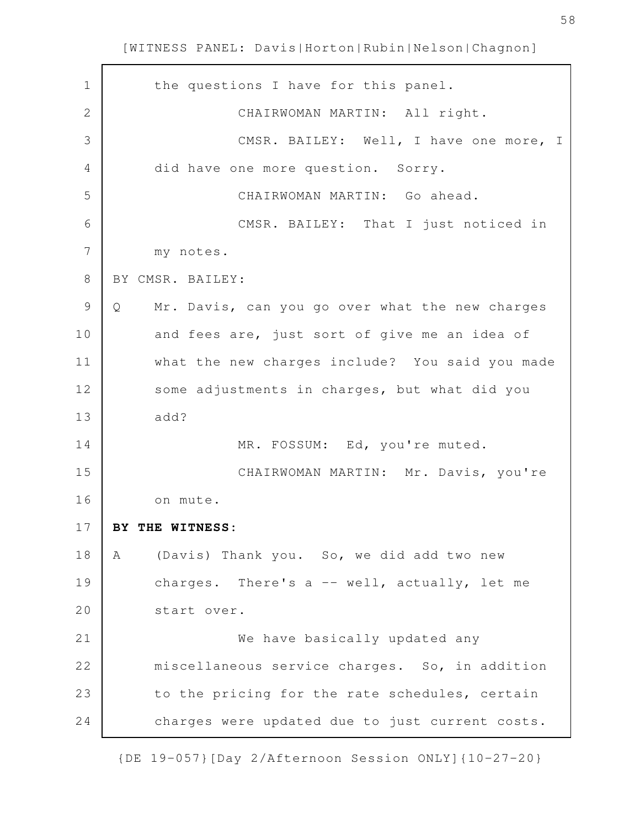| $\mathbf 1$    | the questions I have for this panel.                 |
|----------------|------------------------------------------------------|
| $\overline{2}$ | CHAIRWOMAN MARTIN: All right.                        |
| 3              | CMSR. BAILEY: Well, I have one more, I               |
| 4              | did have one more question. Sorry.                   |
| 5              | CHAIRWOMAN MARTIN: Go ahead.                         |
| 6              | CMSR. BAILEY: That I just noticed in                 |
| 7              | my notes.                                            |
| $\,8\,$        | BY CMSR. BAILEY:                                     |
| $\mathcal{G}$  | Mr. Davis, can you go over what the new charges<br>Q |
| 10             | and fees are, just sort of give me an idea of        |
| 11             | what the new charges include? You said you made      |
| 12             | some adjustments in charges, but what did you        |
| 13             | add?                                                 |
| 14             | MR. FOSSUM: Ed, you're muted.                        |
| 15             | CHAIRWOMAN MARTIN: Mr. Davis, you're                 |
| 16             | on mute.                                             |
| 17             | BY THE WITNESS:                                      |
| 18             | (Davis) Thank you. So, we did add two new<br>Α       |
| 19             | charges. There's a -- well, actually, let me         |
| 20             | start over.                                          |
| 21             | We have basically updated any                        |
| 22             | miscellaneous service charges. So, in addition       |
| 23             | to the pricing for the rate schedules, certain       |
| 24             | charges were updated due to just current costs.      |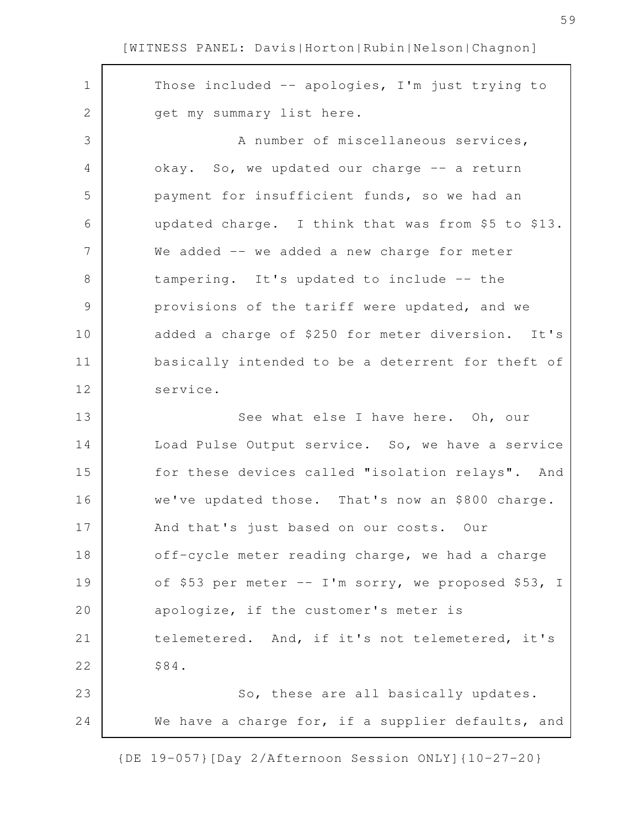| $\mathbf 1$    | Those included -- apologies, I'm just trying to     |
|----------------|-----------------------------------------------------|
| $\mathbf 2$    | get my summary list here.                           |
| 3              | A number of miscellaneous services,                 |
| $\overline{4}$ | okay. So, we updated our charge -- a return         |
| 5              | payment for insufficient funds, so we had an        |
| 6              | updated charge. I think that was from \$5 to \$13.  |
| 7              | We added -- we added a new charge for meter         |
| $\,8\,$        | tampering. It's updated to include -- the           |
| $\mathcal{G}$  | provisions of the tariff were updated, and we       |
| 10             | added a charge of \$250 for meter diversion. It's   |
| 11             | basically intended to be a deterrent for theft of   |
| 12             | service.                                            |
| 13             | See what else I have here. Oh, our                  |
| 14             | Load Pulse Output service. So, we have a service    |
| 15             | for these devices called "isolation relays". And    |
| 16             | we've updated those. That's now an \$800 charge.    |
| 17             | And that's just based on our costs. Our             |
| 18             | off-cycle meter reading charge, we had a charge     |
| 19             | of \$53 per meter -- I'm sorry, we proposed \$53, I |
| 20             | apologize, if the customer's meter is               |
| 21             | telemetered. And, if it's not telemetered, it's     |
| 22             | \$84.                                               |
| 23             | So, these are all basically updates.                |
| 24             | We have a charge for, if a supplier defaults, and   |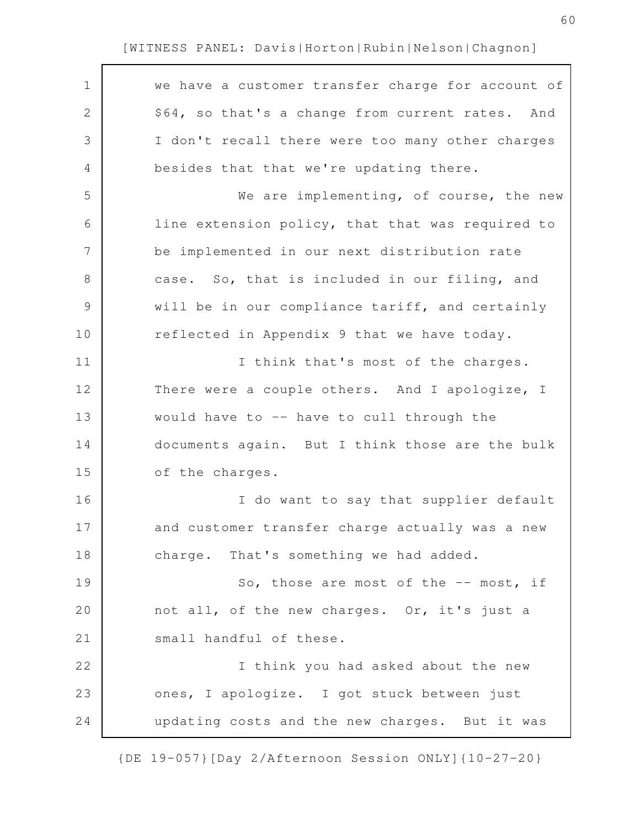| $\mathbf 1$    | we have a customer transfer charge for account of |
|----------------|---------------------------------------------------|
| $\mathbf{2}$   | \$64, so that's a change from current rates. And  |
| 3              | I don't recall there were too many other charges  |
| 4              | besides that that we're updating there.           |
| 5              | We are implementing, of course, the new           |
| 6              | line extension policy, that that was required to  |
| $\overline{7}$ | be implemented in our next distribution rate      |
| $8\,$          | case. So, that is included in our filing, and     |
| $\mathcal{G}$  | will be in our compliance tariff, and certainly   |
| 10             | reflected in Appendix 9 that we have today.       |
| 11             | I think that's most of the charges.               |
| 12             | There were a couple others. And I apologize, I    |
| 13             | would have to -- have to cull through the         |
| 14             | documents again. But I think those are the bulk   |
| 15             | of the charges.                                   |
| 16             | I do want to say that supplier default            |
| 17             | and customer transfer charge actually was a new   |
| 18             | charge. That's something we had added.            |
| 19             | So, those are most of the -- most, if             |
| 20             | not all, of the new charges. Or, it's just a      |
| 21             | small handful of these.                           |
| 22             | I think you had asked about the new               |
| 23             | ones, I apologize. I got stuck between just       |
| 24             | updating costs and the new charges. But it was    |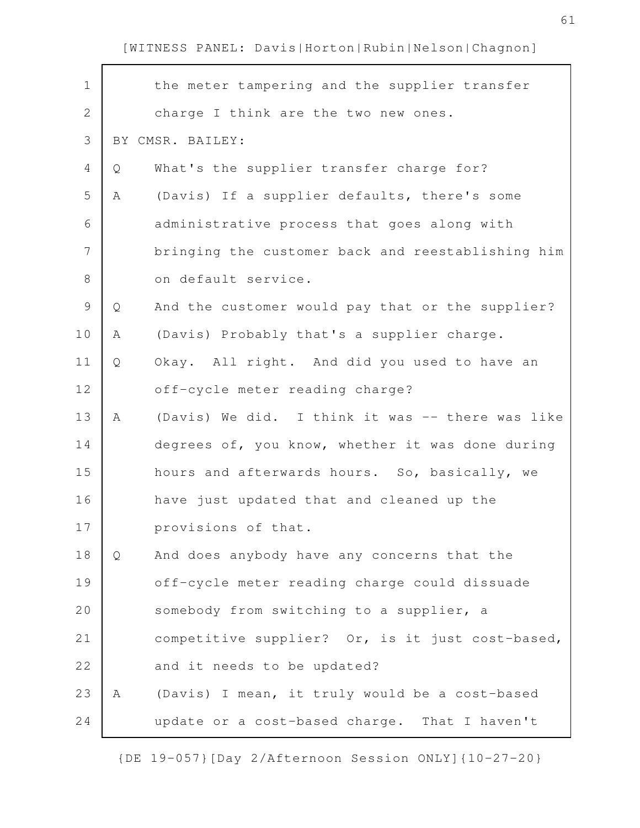| $\mathbf 1$   |   | the meter tampering and the supplier transfer     |
|---------------|---|---------------------------------------------------|
| $\mathbf{2}$  |   | charge I think are the two new ones.              |
| 3             |   | BY CMSR. BAILEY:                                  |
| 4             | Q | What's the supplier transfer charge for?          |
| 5             | Α | (Davis) If a supplier defaults, there's some      |
| 6             |   | administrative process that goes along with       |
| 7             |   | bringing the customer back and reestablishing him |
| $\,8\,$       |   | on default service.                               |
| $\mathcal{G}$ | Q | And the customer would pay that or the supplier?  |
| 10            | Α | (Davis) Probably that's a supplier charge.        |
| 11            | Q | Okay. All right. And did you used to have an      |
| 12            |   | off-cycle meter reading charge?                   |
| 13            | Α | (Davis) We did. I think it was -- there was like  |
| 14            |   | degrees of, you know, whether it was done during  |
| 15            |   | hours and afterwards hours. So, basically, we     |
| 16            |   | have just updated that and cleaned up the         |
| 17            |   | provisions of that.                               |
| 18            | Q | And does anybody have any concerns that the       |
| 19            |   | off-cycle meter reading charge could dissuade     |
| 20            |   | somebody from switching to a supplier, a          |
| 21            |   | competitive supplier? Or, is it just cost-based,  |
| 22            |   | and it needs to be updated?                       |
| 23            | A | (Davis) I mean, it truly would be a cost-based    |
| 24            |   | update or a cost-based charge. That I haven't     |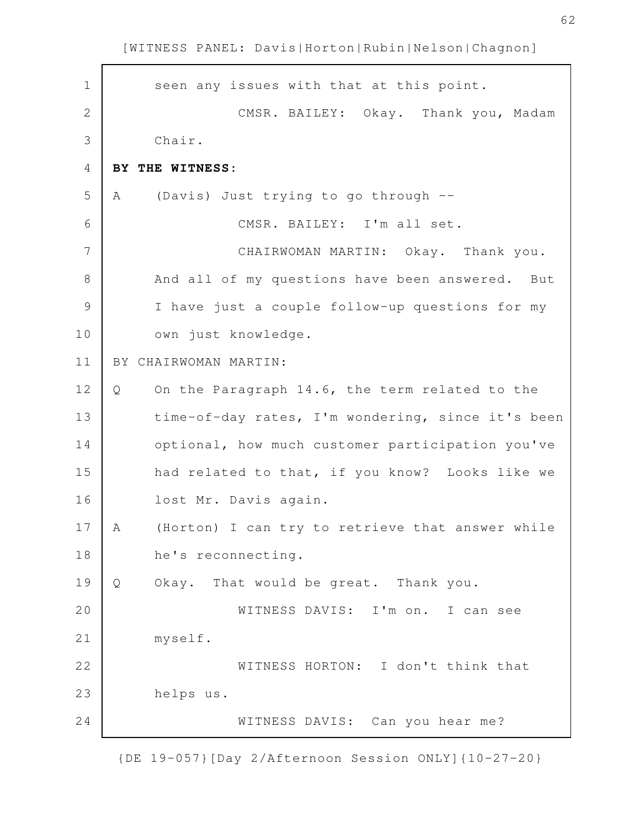seen any issues with that at this point. CMSR. BAILEY: Okay. Thank you, Madam Chair. **BY THE WITNESS:** A (Davis) Just trying to go through -- CMSR. BAILEY: I'm all set. CHAIRWOMAN MARTIN: Okay. Thank you. And all of my questions have been answered. But I have just a couple follow-up questions for my own just knowledge. BY CHAIRWOMAN MARTIN: Q On the Paragraph 14.6, the term related to the time-of-day rates, I'm wondering, since it's been optional, how much customer participation you've had related to that, if you know? Looks like we lost Mr. Davis again. A (Horton) I can try to retrieve that answer while he's reconnecting. Q Okay. That would be great. Thank you. WITNESS DAVIS: I'm on. I can see myself. WITNESS HORTON: I don't think that helps us. WITNESS DAVIS: Can you hear me? 1 2 3 4 5 6 7 8 9 10 11 12 13 14 15 16 17 18 19 20 21 22 23 24

[WITNESS PANEL: Davis|Horton|Rubin|Nelson|Chagnon]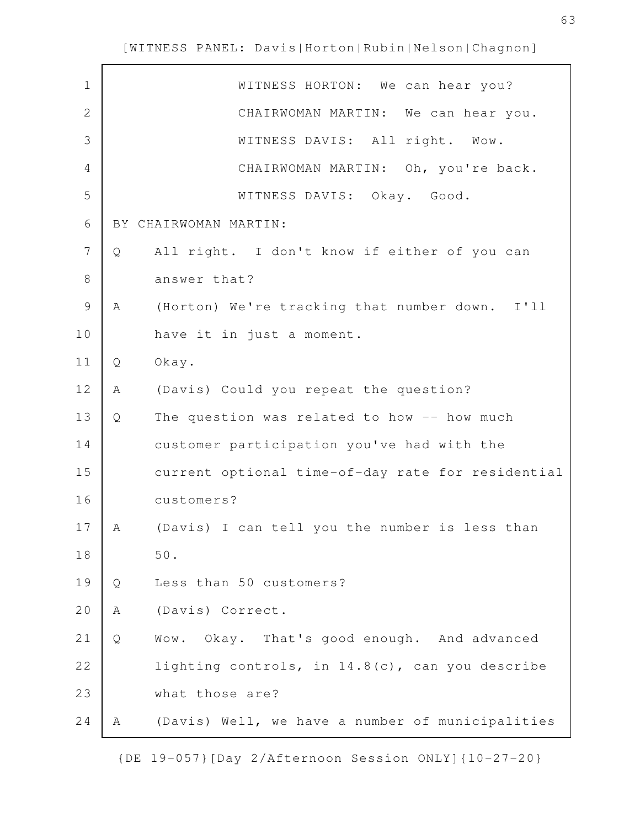$\mathbf{r}$ 

| $\mathbf 1$    |   | WITNESS HORTON: We can hear you?                  |
|----------------|---|---------------------------------------------------|
| 2              |   | CHAIRWOMAN MARTIN: We can hear you.               |
| 3              |   | WITNESS DAVIS: All right. Wow.                    |
| 4              |   | CHAIRWOMAN MARTIN: Oh, you're back.               |
| 5              |   | WITNESS DAVIS: Okay. Good.                        |
| 6              |   | BY CHAIRWOMAN MARTIN:                             |
| $\overline{7}$ | Q | All right. I don't know if either of you can      |
| $8\,$          |   | answer that?                                      |
| $\mathcal{G}$  | Α | (Horton) We're tracking that number down. I'll    |
| 10             |   | have it in just a moment.                         |
| 11             | Q | Okay.                                             |
| 12             | Α | (Davis) Could you repeat the question?            |
| 13             | Q | The question was related to how -- how much       |
| 14             |   | customer participation you've had with the        |
| 15             |   | current optional time-of-day rate for residential |
| 16             |   | customers?                                        |
| 17             | Α | (Davis) I can tell you the number is less than    |
| 18             |   | $50.$                                             |
| 19             | Q | Less than 50 customers?                           |
| 20             | Α | (Davis) Correct.                                  |
| 21             | Q | Okay. That's good enough. And advanced<br>Wow.    |
| 22             |   | lighting controls, in 14.8(c), can you describe   |
| 23             |   | what those are?                                   |
| 24             | Α | (Davis) Well, we have a number of municipalities  |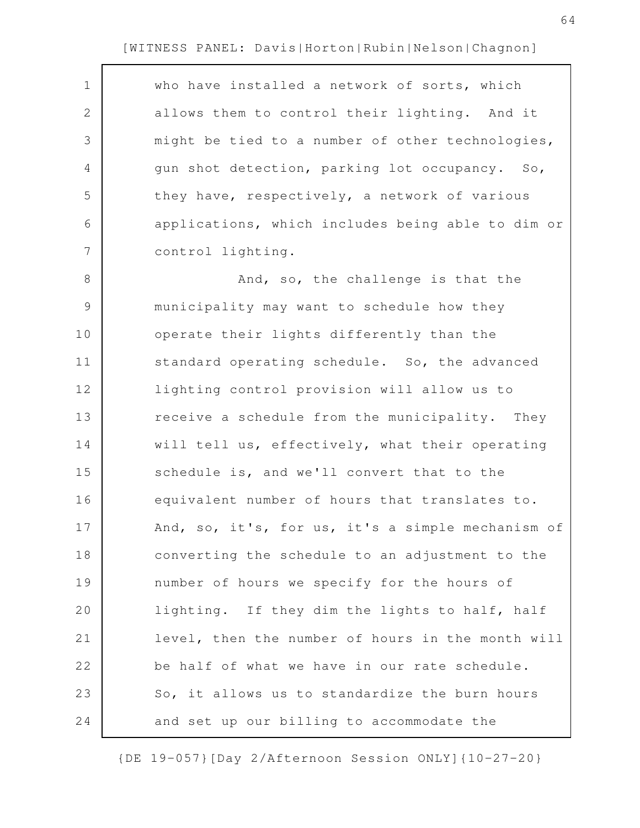| $\mathbf 1$   | who have installed a network of sorts, which      |
|---------------|---------------------------------------------------|
| 2             | allows them to control their lighting. And it     |
| 3             | might be tied to a number of other technologies,  |
| 4             | gun shot detection, parking lot occupancy. So,    |
| 5             | they have, respectively, a network of various     |
| 6             | applications, which includes being able to dim or |
| 7             | control lighting.                                 |
| 8             | And, so, the challenge is that the                |
| $\mathcal{G}$ | municipality may want to schedule how they        |
| 10            | operate their lights differently than the         |
| 11            | standard operating schedule. So, the advanced     |
| 12            | lighting control provision will allow us to       |
| 13            | receive a schedule from the municipality. They    |
| 14            | will tell us, effectively, what their operating   |
| 15            | schedule is, and we'll convert that to the        |
| 16            | equivalent number of hours that translates to.    |
| 17            | And, so, it's, for us, it's a simple mechanism of |
| 18            | converting the schedule to an adjustment to the   |
| 19            | number of hours we specify for the hours of       |
| 20            | lighting. If they dim the lights to half, half    |
| 21            | level, then the number of hours in the month will |
| 22            | be half of what we have in our rate schedule.     |
| 23            | So, it allows us to standardize the burn hours    |
| 24            | and set up our billing to accommodate the         |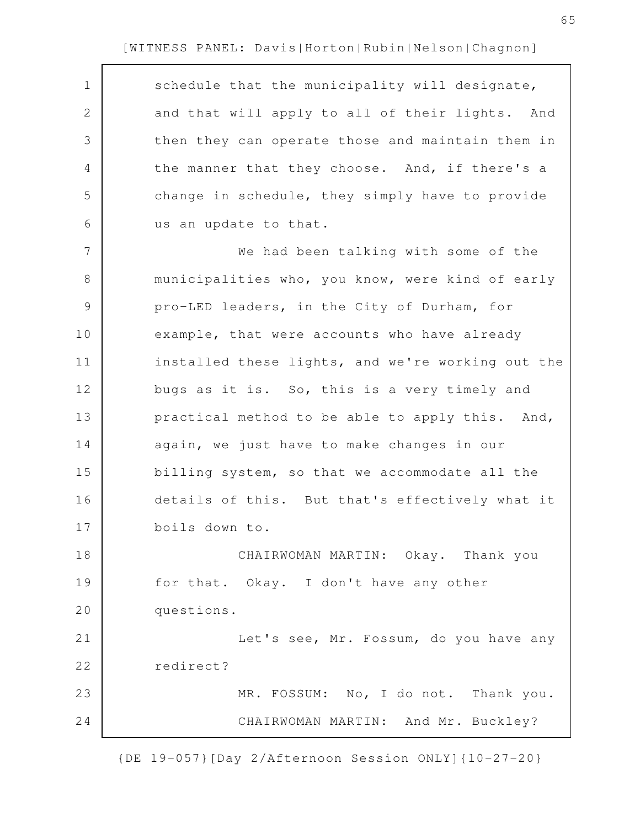| $\mathbf 1$   | schedule that the municipality will designate,    |
|---------------|---------------------------------------------------|
| 2             | and that will apply to all of their lights. And   |
| 3             | then they can operate those and maintain them in  |
| 4             | the manner that they choose. And, if there's a    |
| 5             | change in schedule, they simply have to provide   |
| 6             | us an update to that.                             |
| 7             | We had been talking with some of the              |
| 8             | municipalities who, you know, were kind of early  |
| $\mathcal{G}$ | pro-LED leaders, in the City of Durham, for       |
| 10            | example, that were accounts who have already      |
| 11            | installed these lights, and we're working out the |
| 12            | bugs as it is. So, this is a very timely and      |
| 13            | practical method to be able to apply this. And,   |
| 14            | again, we just have to make changes in our        |
| 15            | billing system, so that we accommodate all the    |
| 16            | details of this. But that's effectively what it   |
| 17            | boils down to.                                    |
| 18            | CHAIRWOMAN MARTIN: Okay. Thank you                |
| 19            | for that. Okay. I don't have any other            |
| 20            | questions.                                        |
| 21            | Let's see, Mr. Fossum, do you have any            |
| 22            | redirect?                                         |
| 23            | MR. FOSSUM: No, I do not. Thank you.              |
| 24            | CHAIRWOMAN MARTIN: And Mr. Buckley?               |

{DE 19-057}[Day 2/Afternoon Session ONLY]{10-27-20}

65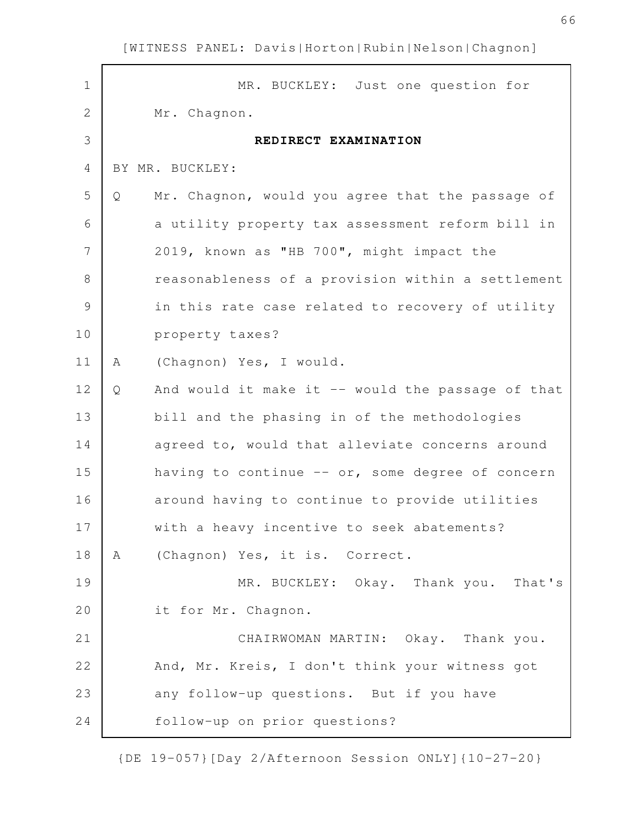| $\mathbf 1$    | MR. BUCKLEY: Just one question for                     |
|----------------|--------------------------------------------------------|
| $\sqrt{2}$     | Mr. Chagnon.                                           |
| 3              | REDIRECT EXAMINATION                                   |
| 4              | BY MR. BUCKLEY:                                        |
| 5              | Mr. Chagnon, would you agree that the passage of<br>Q  |
| 6              | a utility property tax assessment reform bill in       |
| $\overline{7}$ | 2019, known as "HB 700", might impact the              |
| 8              | reasonableness of a provision within a settlement      |
| 9              | in this rate case related to recovery of utility       |
| 10             | property taxes?                                        |
| 11             | (Chagnon) Yes, I would.<br>A                           |
| 12             | And would it make it -- would the passage of that<br>Q |
| 13             | bill and the phasing in of the methodologies           |
| 14             | agreed to, would that alleviate concerns around        |
| 15             | having to continue -- or, some degree of concern       |
| 16             | around having to continue to provide utilities         |
| 17             | with a heavy incentive to seek abatements?             |
| 18             | (Chagnon) Yes, it is. Correct.<br>Α                    |
| 19             | MR. BUCKLEY: Okay. Thank you. That's                   |
| 20             | it for Mr. Chagnon.                                    |
| 21             | CHAIRWOMAN MARTIN: Okay. Thank you.                    |
| 22             | And, Mr. Kreis, I don't think your witness got         |
| 23             | any follow-up questions. But if you have               |
| 24             | follow-up on prior questions?                          |